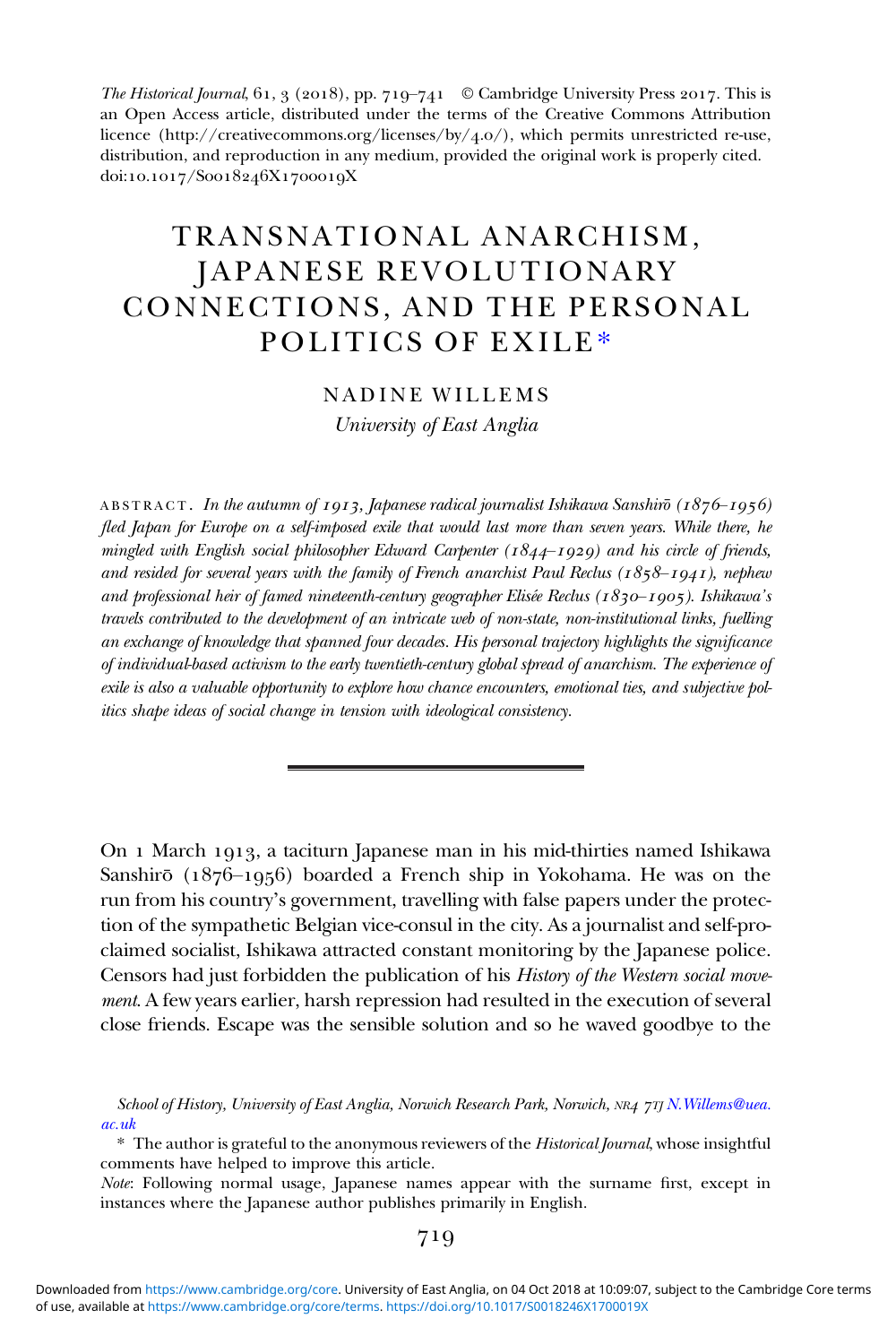The Historical Journal,  $61, 3$  (2018), pp. 719–741 © Cambridge University Press 2017. This is an Open Access article, distributed under the terms of the Creative Commons Attribution licence (http://creativecommons.org/licenses/by/4.o/), which permits unrestricted re-use, distribution, and reproduction in any medium, provided the original work is properly cited. doi:10.1017/Soo18246X1700019X

# TRANSNATIONAL ANARCHISM, JAPANESE REVOLUTIONARY CONNECTIONS, AND THE PERSONAL POLITICS OF EXILE\*

NADINE WILLEMS University of East Anglia

ABSTRACT. In the autumn of 1913, Japanese radical journalist Ishikawa Sanshirō  $(1876 - 1956)$ fled Japan for Europe on a self-imposed exile that would last more than seven years. While there, he mingled with English social philosopher Edward Carpenter ( $1844-1929$ ) and his circle of friends, and resided for several years with the family of French anarchist Paul Reclus ( $1858-1941$ ), nephew and professional heir of famed nineteenth-century geographer Elisée Reclus ( $1830-1905$ ). Ishikawa's travels contributed to the development of an intricate web of non-state, non-institutional links, fuelling an exchange of knowledge that spanned four decades. His personal trajectory highlights the significance of individual-based activism to the early twentieth-century global spread of anarchism. The experience of exile is also a valuable opportunity to explore how chance encounters, emotional ties, and subjective politics shape ideas of social change in tension with ideological consistency.

On 1 March 1913, a taciturn Japanese man in his mid-thirties named Ishikawa Sanshirō ( $1876-1956$ ) boarded a French ship in Yokohama. He was on the run from his country's government, travelling with false papers under the protection of the sympathetic Belgian vice-consul in the city. As a journalist and self-proclaimed socialist, Ishikawa attracted constant monitoring by the Japanese police. Censors had just forbidden the publication of his History of the Western social movement. A few years earlier, harsh repression had resulted in the execution of several close friends. Escape was the sensible solution and so he waved goodbye to the

School of History, University of East Anglia, Norwich Research Park, Norwich, NR4 7TJ N. Willems@uea. [ac.uk](mailto:N.Willems@uea.ac.uk)

\* The author is grateful to the anonymous reviewers of the Historical Journal, whose insightful comments have helped to improve this article.

Note: Following normal usage, Japanese names appear with the surname first, except in instances where the Japanese author publishes primarily in English.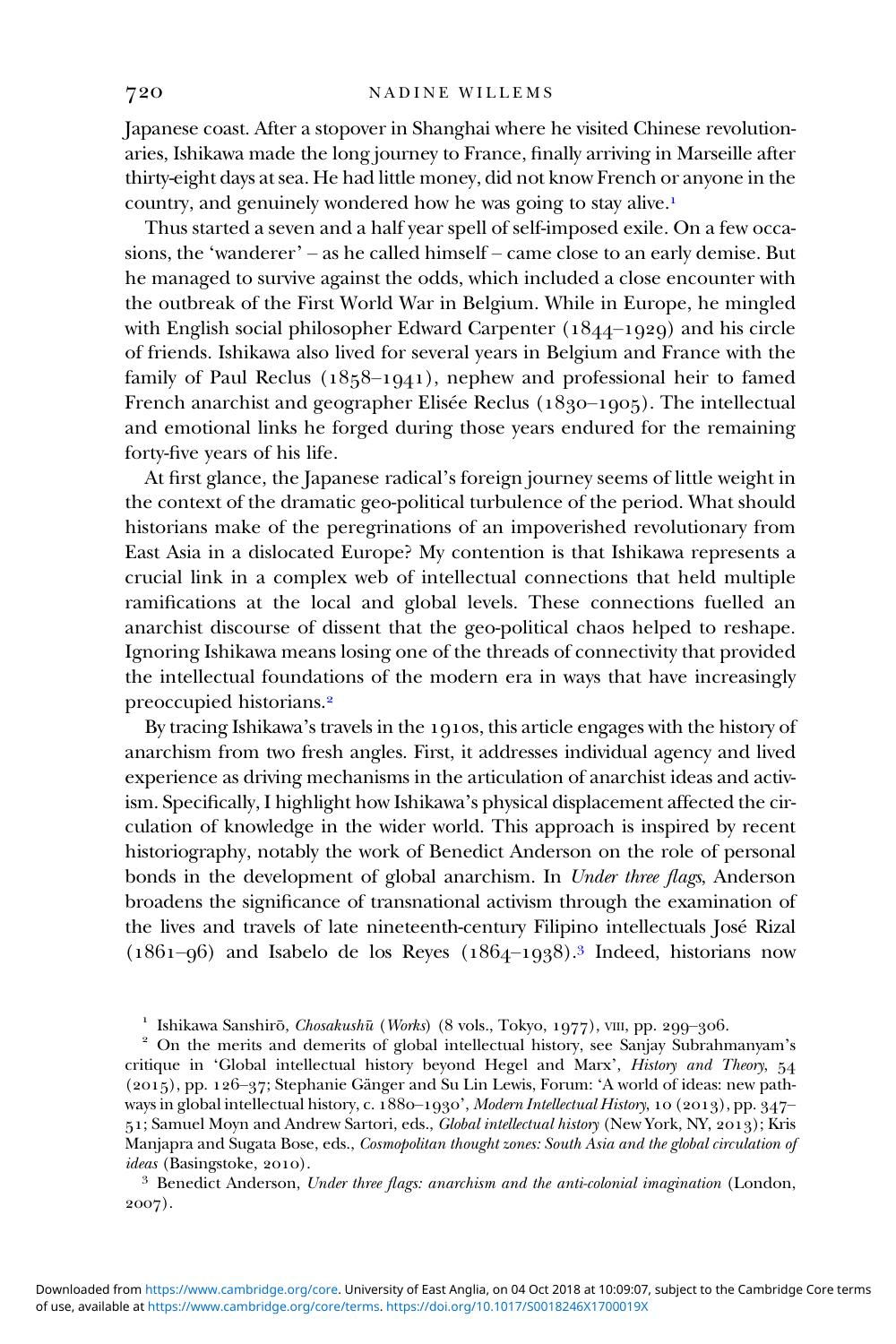Japanese coast. After a stopover in Shanghai where he visited Chinese revolutionaries, Ishikawa made the long journey to France, finally arriving in Marseille after thirty-eight days at sea. He had little money, did not know French or anyone in the country, and genuinely wondered how he was going to stay alive.

Thus started a seven and a half year spell of self-imposed exile. On a few occasions, the 'wanderer' – as he called himself – came close to an early demise. But he managed to survive against the odds, which included a close encounter with the outbreak of the First World War in Belgium. While in Europe, he mingled with English social philosopher Edward Carpenter  $(1844-1929)$  and his circle of friends. Ishikawa also lived for several years in Belgium and France with the family of Paul Reclus  $(1858-1941)$ , nephew and professional heir to famed French anarchist and geographer Elisée Reclus  $(1830-1905)$ . The intellectual and emotional links he forged during those years endured for the remaining forty-five years of his life.

At first glance, the Japanese radical's foreign journey seems of little weight in the context of the dramatic geo-political turbulence of the period. What should historians make of the peregrinations of an impoverished revolutionary from East Asia in a dislocated Europe? My contention is that Ishikawa represents a crucial link in a complex web of intellectual connections that held multiple ramifications at the local and global levels. These connections fuelled an anarchist discourse of dissent that the geo-political chaos helped to reshape. Ignoring Ishikawa means losing one of the threads of connectivity that provided the intellectual foundations of the modern era in ways that have increasingly preoccupied historians.

By tracing Ishikawa's travels in the  $1910s$ , this article engages with the history of anarchism from two fresh angles. First, it addresses individual agency and lived experience as driving mechanisms in the articulation of anarchist ideas and activism. Specifically, I highlight how Ishikawa's physical displacement affected the circulation of knowledge in the wider world. This approach is inspired by recent historiography, notably the work of Benedict Anderson on the role of personal bonds in the development of global anarchism. In Under three flags, Anderson broadens the significance of transnational activism through the examination of the lives and travels of late nineteenth-century Filipino intellectuals José Rizal  $(1861-96)$  and Isabelo de los Reyes  $(1864-1938).$ <sup>3</sup> Indeed, historians now

<sup>1</sup> Ishikawa Sanshirō, Chosakushū (Works) (8 vols., Tokyo, 1977), VIII, pp. 299-306.<br><sup>2</sup> On the merits and demerits of global intellectual history, see Sanjay Subrahmanyam's critique in 'Global intellectual history beyond Hegel and Marx', History and Theory, 54 (2015), pp. 126-37; Stephanie Gänger and Su Lin Lewis, Forum: 'A world of ideas: new pathways in global intellectual history, c. 1880-1930', Modern Intellectual History, 10 (2013), pp. 347-51; Samuel Moyn and Andrew Sartori, eds., *Global intellectual history* (New York, NY, 2013); Kris Manjapra and Sugata Bose, eds., Cosmopolitan thought zones: South Asia and the global circulation of ideas (Basingstoke, 2010).<br><sup>3</sup> Benedict Anderson, Under three flags: anarchism and the anti-colonial imagination (London,

2007).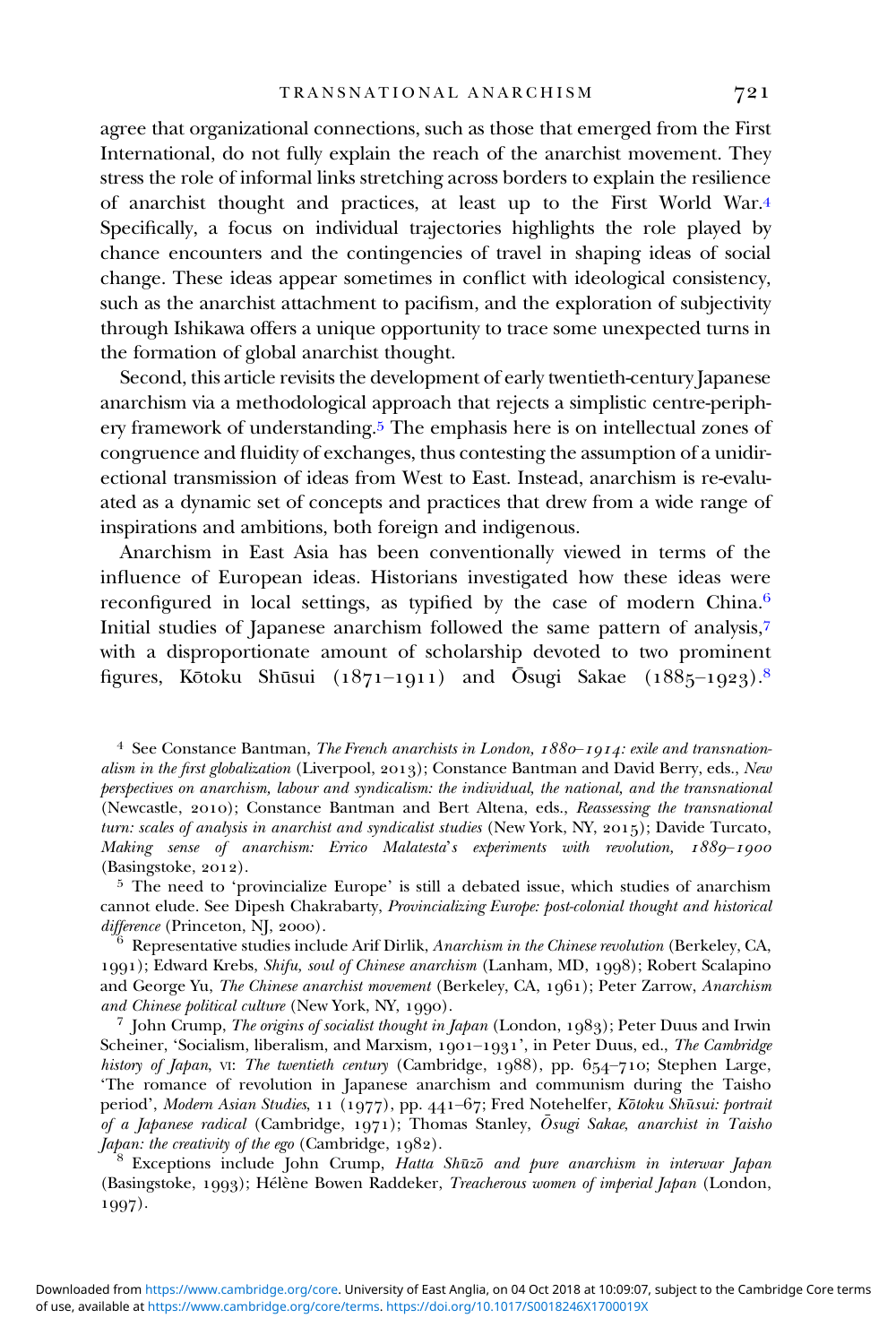agree that organizational connections, such as those that emerged from the First International, do not fully explain the reach of the anarchist movement. They stress the role of informal links stretching across borders to explain the resilience of anarchist thought and practices, at least up to the First World War. Specifically, a focus on individual trajectories highlights the role played by chance encounters and the contingencies of travel in shaping ideas of social change. These ideas appear sometimes in conflict with ideological consistency, such as the anarchist attachment to pacifism, and the exploration of subjectivity through Ishikawa offers a unique opportunity to trace some unexpected turns in the formation of global anarchist thought.

Second, this article revisits the development of early twentieth-century Japanese anarchism via a methodological approach that rejects a simplistic centre-periphery framework of understanding.<sup>5</sup> The emphasis here is on intellectual zones of congruence and fluidity of exchanges, thus contesting the assumption of a unidirectional transmission of ideas from West to East. Instead, anarchism is re-evaluated as a dynamic set of concepts and practices that drew from a wide range of inspirations and ambitions, both foreign and indigenous.

Anarchism in East Asia has been conventionally viewed in terms of the influence of European ideas. Historians investigated how these ideas were reconfigured in local settings, as typified by the case of modern China. Initial studies of Japanese anarchism followed the same pattern of analysis, with a disproportionate amount of scholarship devoted to two prominent figures, Kōtoku Shūsui (1871–1911) and Ōsugi Sakae (1885–1923). $^8$ 

<sup>4</sup> See Constance Bantman, *The French anarchists in London,*  $1880 - 1914$ *: exile and transnation*alism in the first globalization (Liverpool, 2013); Constance Bantman and David Berry, eds., New perspectives on anarchism, labour and syndicalism: the individual, the national, and the transnational (Newcastle, 2010); Constance Bantman and Bert Altena, eds., Reassessing the transnational turn: scales of analysis in anarchist and syndicalist studies (New York, NY, 2015); Davide Turcato, Making sense of anarchism: Errico Malatesta's experiments with revolution, 1889–1900 (Basingstoke, 2012).

 $5$  The need to 'provincialize Europe' is still a debated issue, which studies of anarchism cannot elude. See Dipesh Chakrabarty, Provincializing Europe: post-colonial thought and historical difference (Princeton, NJ, 2000).<br><sup>6</sup> Representative studies include Arif Dirlik, Anarchism in the Chinese revolution (Berkeley, CA,

); Edward Krebs, Shifu, soul of Chinese anarchism (Lanham, MD, ); Robert Scalapino and George Yu, The Chinese anarchist movement (Berkeley, CA, 1961); Peter Zarrow, Anarchism and Chinese political culture (New York, NY, 1990).<br><sup>7</sup> John Crump, *The origins of socialist thought in Japan* (London, 1983); Peter Duus and Irwin

Scheiner, 'Socialism, liberalism, and Marxism,  $1901-1931$ ', in Peter Duus, ed., The Cambridge history of Japan, vi: The twentieth century (Cambridge, 1988), pp. 654-710; Stephen Large, 'The romance of revolution in Japanese anarchism and communism during the Taisho period', *Modern Asian Studies*, 11 (1977), pp. 441–67; Fred Notehelfer, *Kōtoku Shūsui: portrait* of a Japanese radical (Cambridge, 1971); Thomas Stanley,  $\bar{O}$ sugi Sakae, anarchist in Taisho Japan: the creativity of the ego (Cambridge, 1982).<br><sup>8</sup> Exceptions include John Crump, *Hatta Shūzō and pure anarchism in interwar Japan* 

(Basingstoke, 1993); Hélène Bowen Raddeker, Treacherous women of imperial Japan (London, 1997).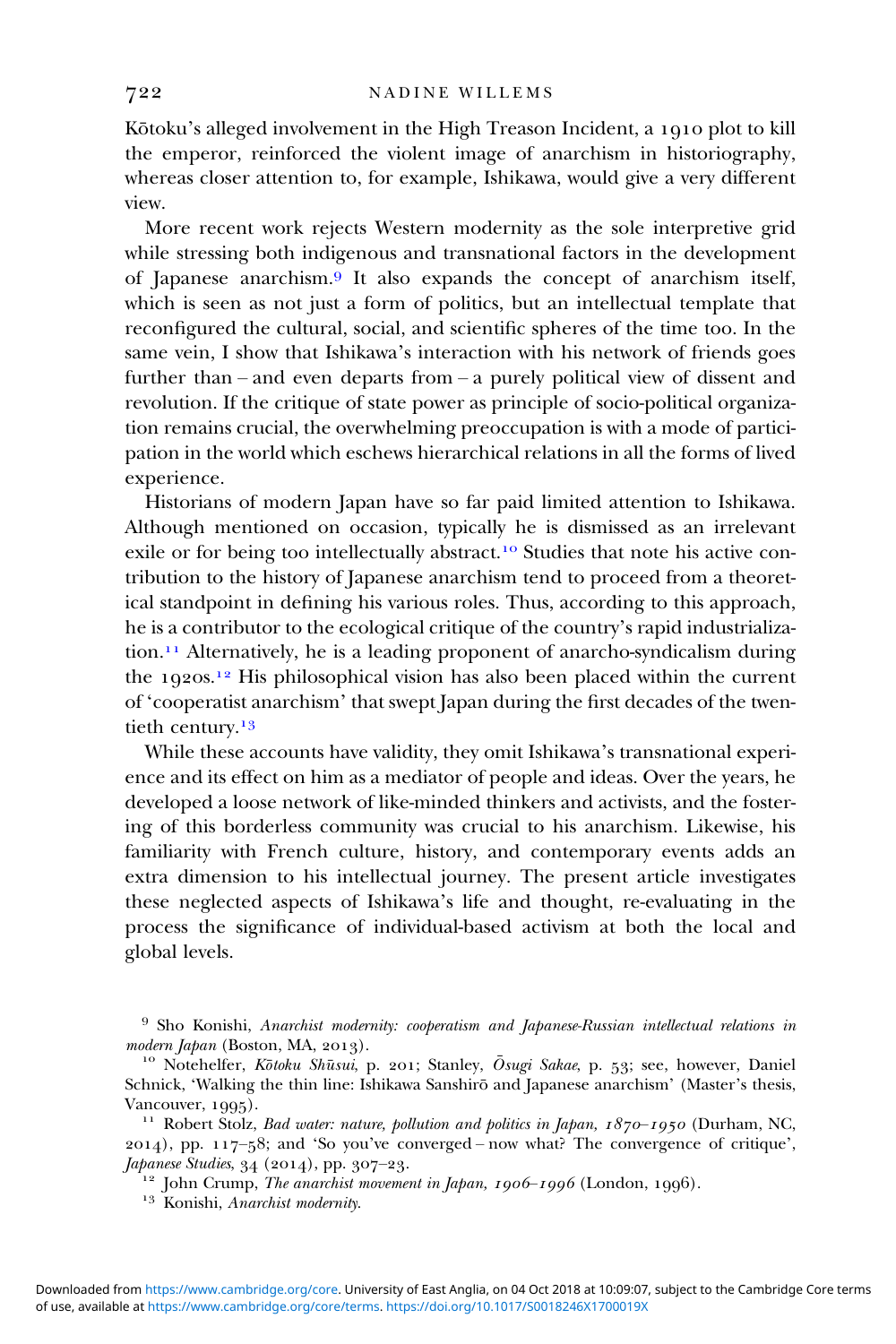Kōtoku's alleged involvement in the High Treason Incident, a 1910 plot to kill the emperor, reinforced the violent image of anarchism in historiography, whereas closer attention to, for example, Ishikawa, would give a very different view.

More recent work rejects Western modernity as the sole interpretive grid while stressing both indigenous and transnational factors in the development of Japanese anarchism.<sup>9</sup> It also expands the concept of anarchism itself, which is seen as not just a form of politics, but an intellectual template that reconfigured the cultural, social, and scientific spheres of the time too. In the same vein, I show that Ishikawa's interaction with his network of friends goes further than – and even departs from – a purely political view of dissent and revolution. If the critique of state power as principle of socio-political organization remains crucial, the overwhelming preoccupation is with a mode of participation in the world which eschews hierarchical relations in all the forms of lived experience.

Historians of modern Japan have so far paid limited attention to Ishikawa. Although mentioned on occasion, typically he is dismissed as an irrelevant exile or for being too intellectually abstract.<sup>10</sup> Studies that note his active contribution to the history of Japanese anarchism tend to proceed from a theoretical standpoint in defining his various roles. Thus, according to this approach, he is a contributor to the ecological critique of the country's rapid industrializa- $\alpha$ <sup>11</sup> Alternatively, he is a leading proponent of anarcho-syndicalism during the  $1920s$ <sup>12</sup> His philosophical vision has also been placed within the current of 'cooperatist anarchism' that swept Japan during the first decades of the twentieth century.<sup>13</sup>

While these accounts have validity, they omit Ishikawa's transnational experience and its effect on him as a mediator of people and ideas. Over the years, he developed a loose network of like-minded thinkers and activists, and the fostering of this borderless community was crucial to his anarchism. Likewise, his familiarity with French culture, history, and contemporary events adds an extra dimension to his intellectual journey. The present article investigates these neglected aspects of Ishikawa's life and thought, re-evaluating in the process the significance of individual-based activism at both the local and global levels.

<sup>9</sup> Sho Konishi, Anarchist modernity: cooperatism and Japanese-Russian intellectual relations in modern Japan (Boston, MA, 2013).

modern Japan (Boston, MA, 2013).<br><sup>10</sup> Notehelfer, *Kōtoku Shūsui*, p. 201; Stanley, *Ōsugi Sakae*, p. 53; see, however, Daniel Schnick, 'Walking the thin line: Ishikawa Sanshirō and Japanese anarchism' (Master's thesis, Vancouver, 1995).<br><sup>11</sup> Robert Stolz, *Bad water: nature, pollution and politics in Japan, 1870–1950* (Durham, NC,

 $(2014)$ , pp.  $117-58$ ; and 'So you've converged – now what? The convergence of critique', Japanese Studies, 34 (2014), pp. 307–23.<br><sup>12</sup> John Crump, *The anarchist movement in Japan, 1906–1996* (London, 1996).<br><sup>13</sup> Konishi, *Anarchist modernity*.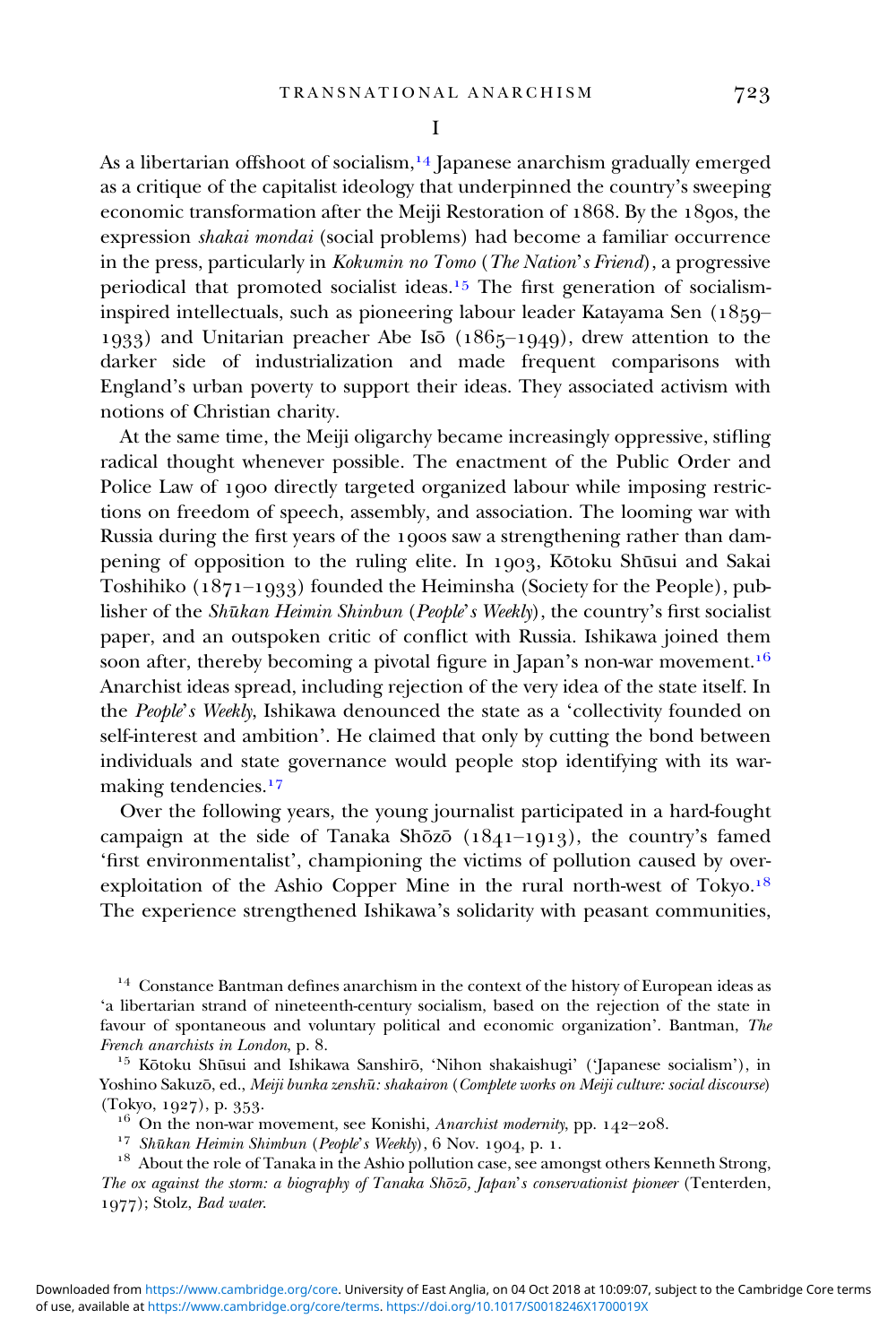As a libertarian offshoot of socialism,  $\frac{14}{4}$  [apanese anarchism gradually emerged as a critique of the capitalist ideology that underpinned the country's sweeping economic transformation after the Meiji Restoration of 1868. By the 1890s, the expression shakai mondai (social problems) had become a familiar occurrence in the press, particularly in Kokumin no Tomo (The Nation's Friend), a progressive periodical that promoted socialist ideas.<sup>15</sup> The first generation of socialisminspired intellectuals, such as pioneering labour leader Katayama Sen  $(1859-$ 1933) and Unitarian preacher Abe Isō  $(1865-1949)$ , drew attention to the darker side of industrialization and made frequent comparisons with England's urban poverty to support their ideas. They associated activism with notions of Christian charity.

At the same time, the Meiji oligarchy became increasingly oppressive, stifling radical thought whenever possible. The enactment of the Public Order and Police Law of 1900 directly targeted organized labour while imposing restrictions on freedom of speech, assembly, and association. The looming war with Russia during the first years of the 1900s saw a strengthening rather than dampening of opposition to the ruling elite. In 1903, Kōtoku Shūsui and Sakai Toshihiko  $(1871-1933)$  founded the Heiminsha (Society for the People), publisher of the Shūkan Heimin Shinbun (People's Weekly), the country's first socialist paper, and an outspoken critic of conflict with Russia. Ishikawa joined them soon after, thereby becoming a pivotal figure in Japan's non-war movement.<sup>16</sup> Anarchist ideas spread, including rejection of the very idea of the state itself. In the People's Weekly, Ishikawa denounced the state as a 'collectivity founded on self-interest and ambition'. He claimed that only by cutting the bond between individuals and state governance would people stop identifying with its warmaking tendencies.<sup>17</sup>

Over the following years, the young journalist participated in a hard-fought campaign at the side of Tanaka Shōzō ( $1841-1913$ ), the country's famed 'first environmentalist', championing the victims of pollution caused by overexploitation of the Ashio Copper Mine in the rural north-west of Tokyo.<sup>18</sup> The experience strengthened Ishikawa's solidarity with peasant communities,

<sup>14</sup> Constance Bantman defines anarchism in the context of the history of European ideas as 'a libertarian strand of nineteenth-century socialism, based on the rejection of the state in favour of spontaneous and voluntary political and economic organization'. Bantman, The French anarchists in London, p. 8.

<sup>15</sup> Kōtoku Shūsui and Ishikawa Sanshirō, 'Nihon shakaishugi' ('Japanese socialism'), in Yoshino Sakuzō, ed., Meiji bunka zenshū: shakairon (Complete works on Meiji culture: social discourse) (Tokyo, 1927), p. 353.<br><sup>16</sup> On the non-war movement, see Konishi, *Anarchist modernity*, pp. 142–208.<br><sup>17</sup> Shūkan Heimin Shimbun (People's Weekly), 6 Nov. 1904, p. 1.

 $^{18}\,$  About the role of Tanaka in the Ashio pollution case, see amongst others Kenneth Strong, The ox against the storm: a biography of Tanaka Shōzō, Japan's conservationist pioneer (Tenterden, 1977); Stolz, Bad water.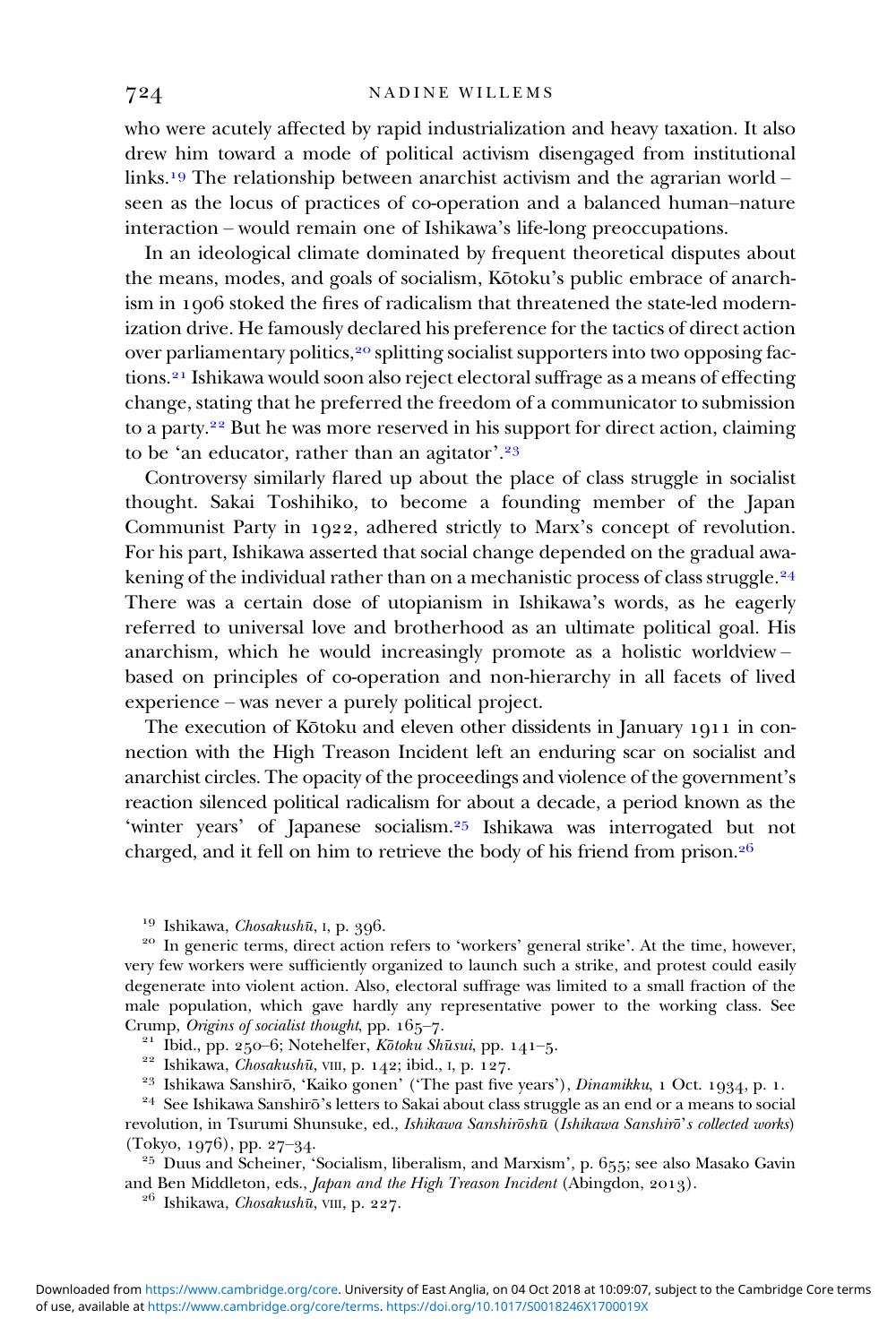who were acutely affected by rapid industrialization and heavy taxation. It also drew him toward a mode of political activism disengaged from institutional links.<sup>19</sup> The relationship between anarchist activism and the agrarian world – seen as the locus of practices of co-operation and a balanced human–nature interaction – would remain one of Ishikawa's life-long preoccupations.

In an ideological climate dominated by frequent theoretical disputes about the means, modes, and goals of socialism, Kōtoku's public embrace of anarchism in 1906 stoked the fires of radicalism that threatened the state-led modernization drive. He famously declared his preference for the tactics of direct action over parliamentary politics,<sup>20</sup> splitting socialist supporters into two opposing factions.<sup>21</sup> Ishikawa would soon also reject electoral suffrage as a means of effecting change, stating that he preferred the freedom of a communicator to submission to a party.<sup>22</sup> But he was more reserved in his support for direct action, claiming to be 'an educator, rather than an agitator'.<sup>23</sup>

Controversy similarly flared up about the place of class struggle in socialist thought. Sakai Toshihiko, to become a founding member of the Japan Communist Party in 1922, adhered strictly to Marx's concept of revolution. For his part, Ishikawa asserted that social change depended on the gradual awakening of the individual rather than on a mechanistic process of class struggle.<sup>24</sup> There was a certain dose of utopianism in Ishikawa's words, as he eagerly referred to universal love and brotherhood as an ultimate political goal. His anarchism, which he would increasingly promote as a holistic worldview – based on principles of co-operation and non-hierarchy in all facets of lived experience – was never a purely political project.

The execution of Kōtoku and eleven other dissidents in January 1911 in connection with the High Treason Incident left an enduring scar on socialist and anarchist circles. The opacity of the proceedings and violence of the government's reaction silenced political radicalism for about a decade, a period known as the 'winter years' of Japanese socialism.<sup>25</sup> Ishikawa was interrogated but not charged, and it fell on him to retrieve the body of his friend from prison.

<sup>19</sup> Ishikawa, *Chosakushū*, I, p. 396.<br><sup>20</sup> In generic terms, direct action refers to 'workers' general strike'. At the time, however, very few workers were sufficiently organized to launch such a strike, and protest could easily degenerate into violent action. Also, electoral suffrage was limited to a small fraction of the male population, which gave hardly any representative power to the working class. See Crump, *Origins of socialist thought*, pp. 165-7.

<sup>21</sup> Ibid., pp. 250–6; Notehelfer, Kōtoku Shūsui, pp. 141–5.<br><sup>22</sup> Ishikawa, *Chosakushū*, vIII, p. 142; ibid., I, p. 127.

<sup>23</sup> Ishikawa Sanshirō, 'Kaiko gonen' ('The past five years'), *Dinamikku*, 1 Oct. 1934, p. 1.<br><sup>24</sup> See Ishikawa Sanshirō's letters to Sakai about class struggle as an end or a means to social

revolution, in Tsurumi Shunsuke, ed., Ishikawa Sanshirōshū (Ishikawa Sanshirō's collected works) (Tokyo, 1976), pp. 27–34.

 $^{\mathrm{25}}$ Duus and Scheiner, 'Socialism, liberalism, and Marxism', p. 655; see also Masako Gavin and Ben Middleton, eds., *Japan and the High Treason Incident* (Abingdon, 2013). <sup>26</sup> Ishikawa, *Chosakushū*, VIII, p. 227.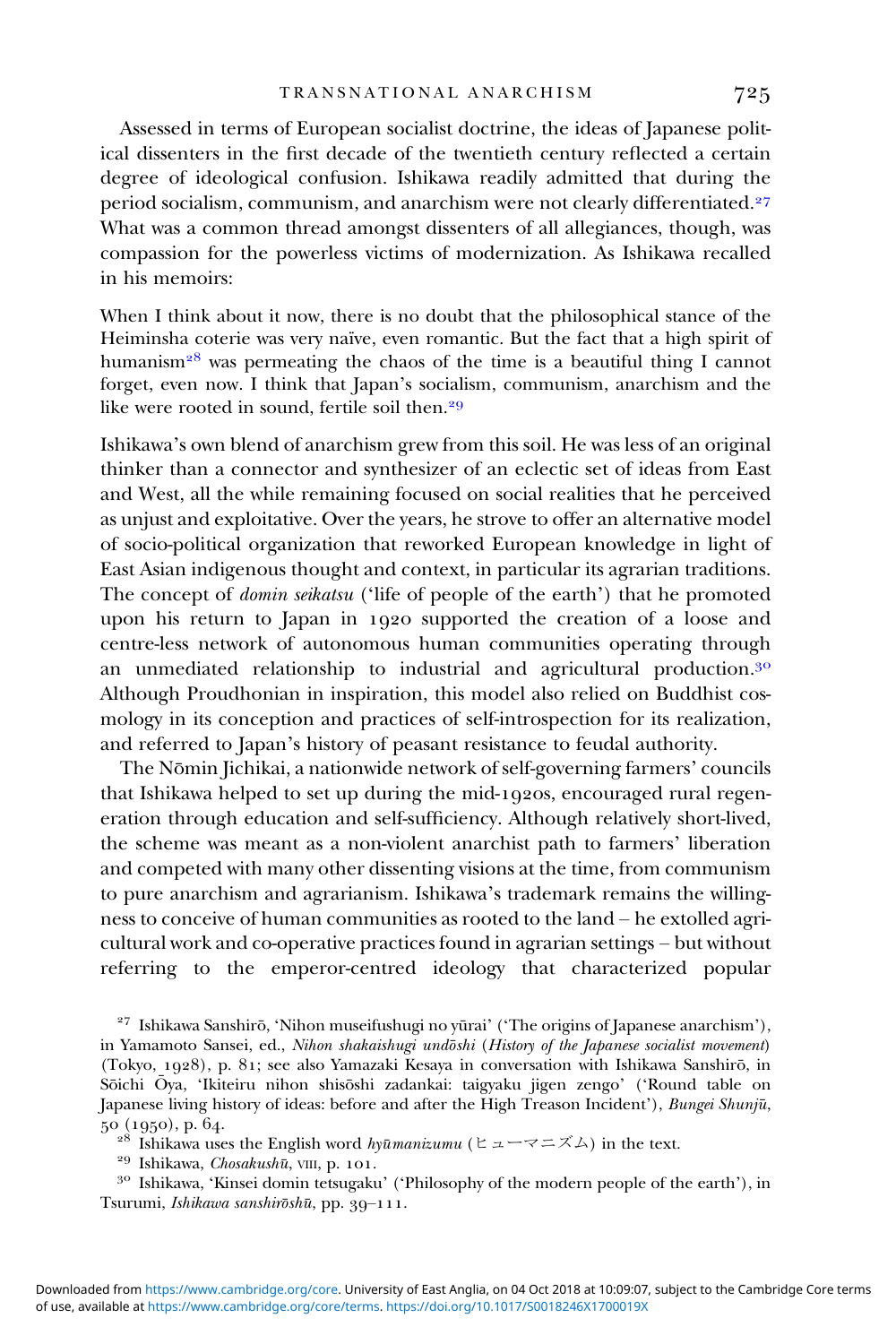Assessed in terms of European socialist doctrine, the ideas of Japanese political dissenters in the first decade of the twentieth century reflected a certain degree of ideological confusion. Ishikawa readily admitted that during the period socialism, communism, and anarchism were not clearly differentiated.<sup>27</sup> What was a common thread amongst dissenters of all allegiances, though, was compassion for the powerless victims of modernization. As Ishikawa recalled in his memoirs:

When I think about it now, there is no doubt that the philosophical stance of the Heiminsha coterie was very naïve, even romantic. But the fact that a high spirit of humanism<sup>28</sup> was permeating the chaos of the time is a beautiful thing I cannot forget, even now. I think that Japan's socialism, communism, anarchism and the like were rooted in sound, fertile soil then.

Ishikawa's own blend of anarchism grew from this soil. He was less of an original thinker than a connector and synthesizer of an eclectic set of ideas from East and West, all the while remaining focused on social realities that he perceived as unjust and exploitative. Over the years, he strove to offer an alternative model of socio-political organization that reworked European knowledge in light of East Asian indigenous thought and context, in particular its agrarian traditions. The concept of *domin seikatsu* ('life of people of the earth') that he promoted upon his return to Japan in 1920 supported the creation of a loose and centre-less network of autonomous human communities operating through an unmediated relationship to industrial and agricultural production.<sup>30</sup> Although Proudhonian in inspiration, this model also relied on Buddhist cosmology in its conception and practices of self-introspection for its realization, and referred to Japan's history of peasant resistance to feudal authority.

The Nōmin Jichikai, a nationwide network of self-governing farmers' councils that Ishikawa helped to set up during the mid-1920s, encouraged rural regeneration through education and self-sufficiency. Although relatively short-lived, the scheme was meant as a non-violent anarchist path to farmers' liberation and competed with many other dissenting visions at the time, from communism to pure anarchism and agrarianism. Ishikawa's trademark remains the willingness to conceive of human communities as rooted to the land – he extolled agricultural work and co-operative practices found in agrarian settings – but without referring to the emperor-centred ideology that characterized popular

<sup>27</sup> Ishikawa Sanshirō, 'Nihon museifushugi no yūrai' ('The origins of Japanese anarchism'), in Yamamoto Sansei, ed., Nihon shakaishugi undōshi (History of the Japanese socialist movement) (Tokyo, 1928), p. 81; see also Yamazaki Kesaya in conversation with Ishikawa Sanshirō, in Sōichi Ō ya, 'Ikiteiru nihon shisōshi zadankai: taigyaku jigen zengo' ('Round table on Japanese living history of ideas: before and after the High Treason Incident'), *Bungei Shunjū*, 50 (1950), p. 64.

<sup>28</sup> Ishikawa uses the English word *hyūmanizumu* (ヒューマニズム) in the text.<br><sup>29</sup> Ishikawa, *Chosakushū*, VIII, p. 101.<br><sup>30</sup> Ishikawa, 'Kinsei domin tetsugaku' ('Philosophy of the modern people of the earth'), in Tsurumi, Ishikawa sanshirōshū, pp. 39-111.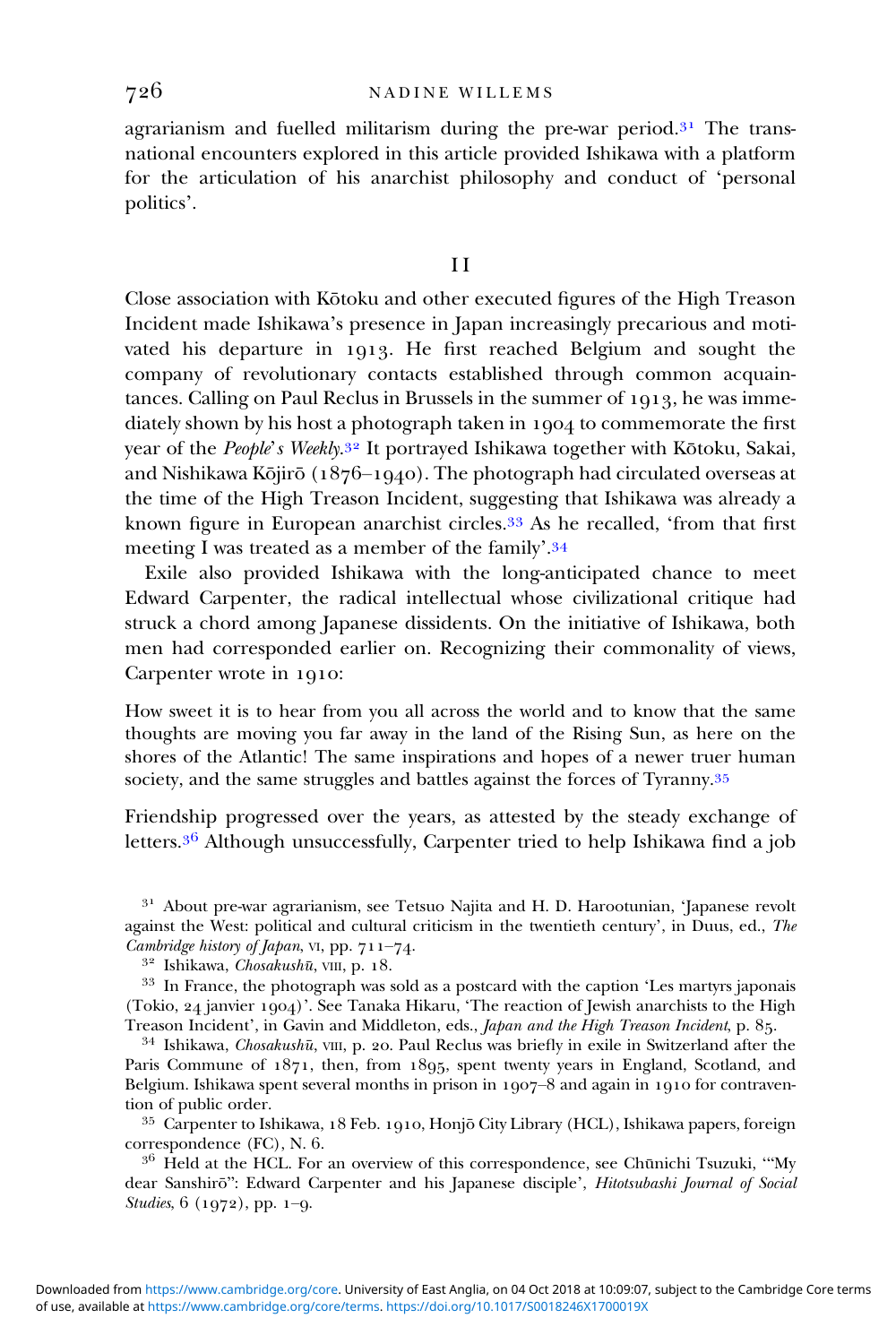agrarianism and fuelled militarism during the pre-war period. $3<sup>1</sup>$  The transnational encounters explored in this article provided Ishikawa with a platform for the articulation of his anarchist philosophy and conduct of 'personal politics'.

# I I

Close association with Kōtoku and other executed figures of the High Treason Incident made Ishikawa's presence in Japan increasingly precarious and motivated his departure in 1913. He first reached Belgium and sought the company of revolutionary contacts established through common acquaintances. Calling on Paul Reclus in Brussels in the summer of 1913, he was immediately shown by his host a photograph taken in 1904 to commemorate the first year of the *People's Weekly*.<sup>32</sup> It portrayed Ishikawa together with Kōtoku, Sakai, and Nishikawa Kōjirō (1876-1940). The photograph had circulated overseas at the time of the High Treason Incident, suggesting that Ishikawa was already a known figure in European anarchist circles.<sup>33</sup> As he recalled, 'from that first meeting I was treated as a member of the family'.<sup>34</sup>

Exile also provided Ishikawa with the long-anticipated chance to meet Edward Carpenter, the radical intellectual whose civilizational critique had struck a chord among Japanese dissidents. On the initiative of Ishikawa, both men had corresponded earlier on. Recognizing their commonality of views, Carpenter wrote in 1910:

How sweet it is to hear from you all across the world and to know that the same thoughts are moving you far away in the land of the Rising Sun, as here on the shores of the Atlantic! The same inspirations and hopes of a newer truer human society, and the same struggles and battles against the forces of Tyranny.<sup>35</sup>

Friendship progressed over the years, as attested by the steady exchange of letters. $36$  Although unsuccessfully, Carpenter tried to help Ishikawa find a job

<sup>31</sup> About pre-war agrarianism, see Tetsuo Najita and H. D. Harootunian, 'Japanese revolt against the West: political and cultural criticism in the twentieth century', in Duus, ed., *The Cambridge history of Japan*, vi, pp. 711–74.

 $34$  Ishikawa, Chosakushū, VIII, p. 20. Paul Reclus was briefly in exile in Switzerland after the Paris Commune of  $1871$ , then, from  $1895$ , spent twenty years in England, Scotland, and Belgium. Ishikawa spent several months in prison in  $1907-8$  and again in 1910 for contravention of public order.

35 Carpenter to Ishikawa, 18 Feb. 1910, Honjō City Library (HCL), Ishikawa papers, foreign correspondence (FC), N. 6.<br>  $3^6$  Held at the HCL. For an overview of this correspondence, see Chūnichi Tsuzuki, "My

dear Sanshirō": Edward Carpenter and his Japanese disciple', Hitotsubashi Journal of Social Studies,  $6(1972)$ , pp. 1-9.

<sup>&</sup>lt;sup>32</sup> Ishikawa, *Chosakushū*, vIII, p. 18.<br><sup>33</sup> In France, the photograph was sold as a postcard with the caption 'Les martyrs japonais (Tokio,  $24$  janvier  $1904$ )'. See Tanaka Hikaru, 'The reaction of Jewish anarchists to the High<br>Treason Incident', in Gavin and Middleton, eds., *Japan and the High Treason Incident*, p. 85.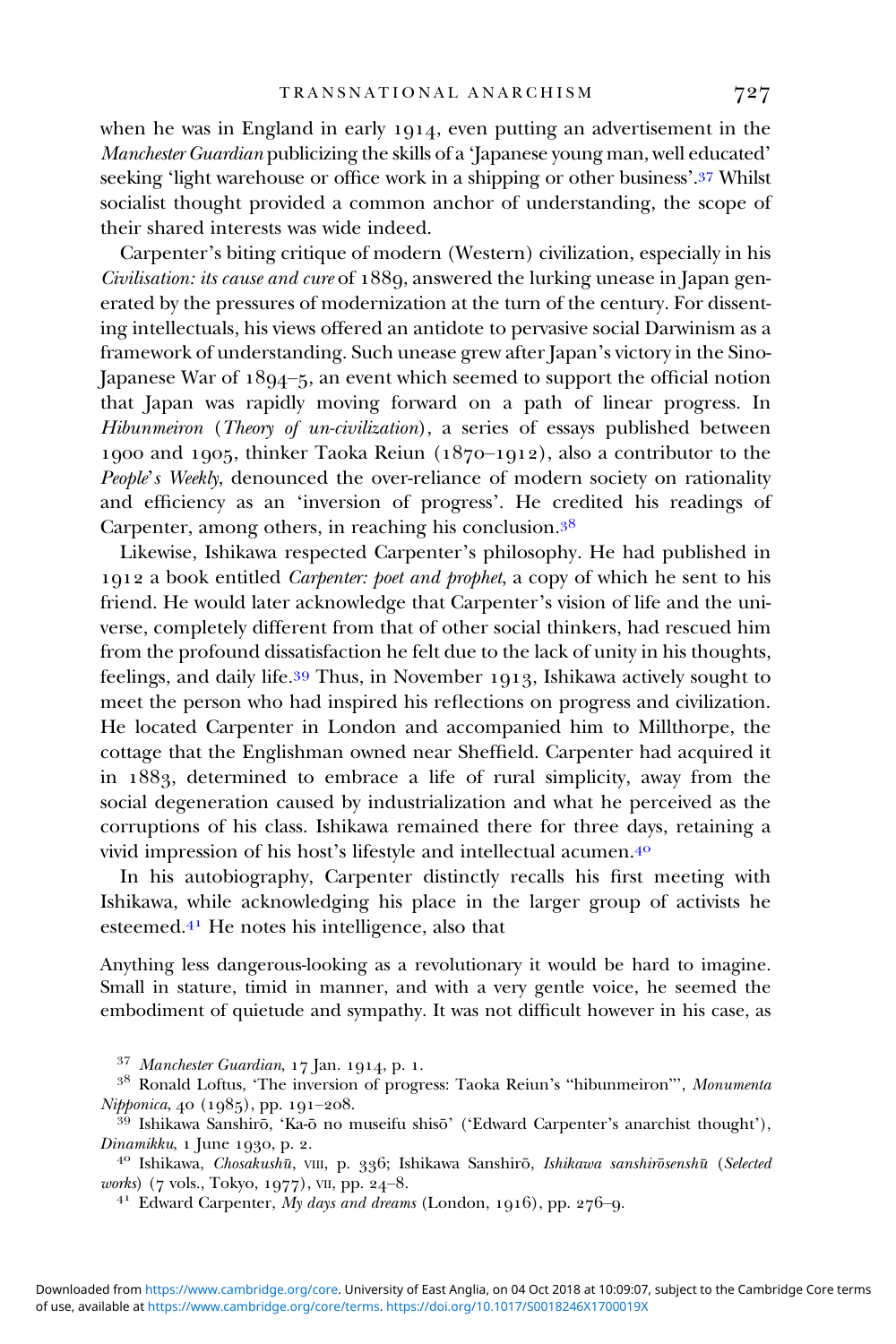when he was in England in early  $1014$ , even putting an advertisement in the Manchester Guardian publicizing the skills of a 'Japanese young man, well educated' seeking 'light warehouse or office work in a shipping or other business'.<sup>37</sup> Whilst socialist thought provided a common anchor of understanding, the scope of their shared interests was wide indeed.

Carpenter's biting critique of modern (Western) civilization, especially in his Civilisation: its cause and cure of 1889, answered the lurking unease in Japan generated by the pressures of modernization at the turn of the century. For dissenting intellectuals, his views offered an antidote to pervasive social Darwinism as a framework of understanding. Such unease grew after Japan's victory in the Sino-Japanese War of  $18q_4 - 5$ , an event which seemed to support the official notion that Japan was rapidly moving forward on a path of linear progress. In Hibunmeiron (Theory of un-civilization), a series of essays published between 1900 and 1905, thinker Taoka Reiun  $(1870-1912)$ , also a contributor to the People's Weekly, denounced the over-reliance of modern society on rationality and efficiency as an 'inversion of progress'. He credited his readings of Carpenter, among others, in reaching his conclusion.

Likewise, Ishikawa respected Carpenter's philosophy. He had published in 1912 a book entitled *Carpenter: poet and prophet*, a copy of which he sent to his friend. He would later acknowledge that Carpenter's vision of life and the universe, completely different from that of other social thinkers, had rescued him from the profound dissatisfaction he felt due to the lack of unity in his thoughts, feelings, and daily life.<sup>39</sup> Thus, in November 1913, Ishikawa actively sought to meet the person who had inspired his reflections on progress and civilization. He located Carpenter in London and accompanied him to Millthorpe, the cottage that the Englishman owned near Sheffield. Carpenter had acquired it in 1883, determined to embrace a life of rural simplicity, away from the social degeneration caused by industrialization and what he perceived as the corruptions of his class. Ishikawa remained there for three days, retaining a vivid impression of his host's lifestyle and intellectual acumen.

In his autobiography, Carpenter distinctly recalls his first meeting with Ishikawa, while acknowledging his place in the larger group of activists he esteemed. $4<sup>1</sup>$  He notes his intelligence, also that

Anything less dangerous-looking as a revolutionary it would be hard to imagine. Small in stature, timid in manner, and with a very gentle voice, he seemed the embodiment of quietude and sympathy. It was not difficult however in his case, as

Dinamikku, 1 June 1930, p. 2.<br>
<sup>40</sup> Ishikawa, *Chosakushū*, VIII, p. 336; Ishikawa Sanshirō, *Ishikawa sanshirōsenshū* (*Selected works*) (7 vols., Tokyo, 1977), VII, pp. 24–8.

<sup>41</sup> Edward Carpenter, My days and dreams (London, 1916), pp. 276-9.

<sup>&</sup>lt;sup>37</sup> Manchester Guardian, 17 Jan. 1914, p. 1.<br><sup>38</sup> Ronald Loftus, 'The inversion of progress: Taoka Reiun's "hibunmeiron"', *Monumenta Nipponica*, 40 (1985), pp. 191–208.

<sup>&</sup>lt;sup>39</sup> Ishikawa Sanshirō, 'Ka-ō no museifu shisō' ('Edward Carpenter's anarchist thought'),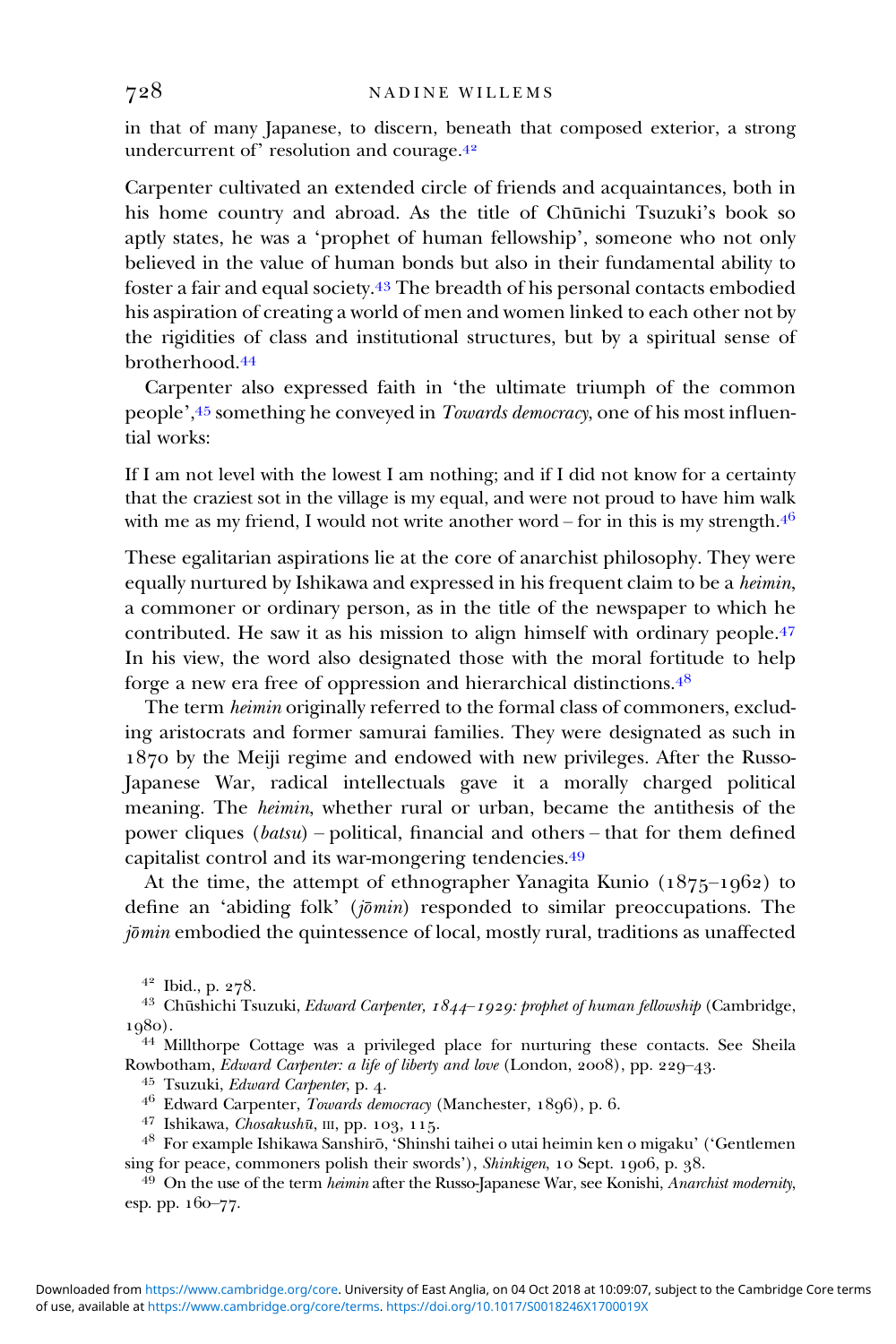in that of many Japanese, to discern, beneath that composed exterior, a strong undercurrent of' resolution and courage.<sup>42</sup>

Carpenter cultivated an extended circle of friends and acquaintances, both in his home country and abroad. As the title of Chūnichi Tsuzuki's book so aptly states, he was a 'prophet of human fellowship', someone who not only believed in the value of human bonds but also in their fundamental ability to foster a fair and equal society.<sup>43</sup> The breadth of his personal contacts embodied his aspiration of creating a world of men and women linked to each other not by the rigidities of class and institutional structures, but by a spiritual sense of brotherhood.

Carpenter also expressed faith in 'the ultimate triumph of the common people',45 something he conveyed in Towards democracy, one of his most influential works:

If I am not level with the lowest I am nothing; and if I did not know for a certainty that the craziest sot in the village is my equal, and were not proud to have him walk with me as my friend, I would not write another word – for in this is my strength. $4^6$ 

These egalitarian aspirations lie at the core of anarchist philosophy. They were equally nurtured by Ishikawa and expressed in his frequent claim to be a heimin, a commoner or ordinary person, as in the title of the newspaper to which he contributed. He saw it as his mission to align himself with ordinary people.<sup>47</sup> In his view, the word also designated those with the moral fortitude to help forge a new era free of oppression and hierarchical distinctions.

The term heimin originally referred to the formal class of commoners, excluding aristocrats and former samurai families. They were designated as such in 1870 by the Meiji regime and endowed with new privileges. After the Russo-Japanese War, radical intellectuals gave it a morally charged political meaning. The heimin, whether rural or urban, became the antithesis of the power cliques (batsu) – political, financial and others – that for them defined capitalist control and its war-mongering tendencies.

At the time, the attempt of ethnographer Yanagita Kunio  $(1875-1962)$  to define an 'abiding folk'  $(j\bar{\sigma}min)$  responded to similar preoccupations. The  $j\bar{\sigma}$ min embodied the quintessence of local, mostly rural, traditions as unaffected

<sup>42</sup> Ibid., p. 278.<br><sup>43</sup> Chūshichi Tsuzuki, *Edward Carpenter, 1844–1929: prophet of human fellowship* (Cambridge,

1980).<br><sup>44</sup> Millthorpe Cottage was a privileged place for nurturing these contacts. See Sheila<br>Rowbotham, *Edward Carpenter: a life of liberty and love* (London, 2008), pp. 229–43.

<sup>45</sup> Tsuzuki, *Edward Carpenter*, p. 4.<br><sup>46</sup> Edward Carpenter, *Towards democracy* (Manchester, 1896), p. 6.<br><sup>47</sup> Ishikawa, *Chosakushū*, III, pp. 103, 115.<br><sup>48</sup> For example Ishikawa Sanshirō, 'Shinshi taihei o utai heimi

 $s<sup>49</sup>$  On the use of the term *heimin* after the Russo-Japanese War, see Konishi, Anarchist modernity, esp. pp. 160-77.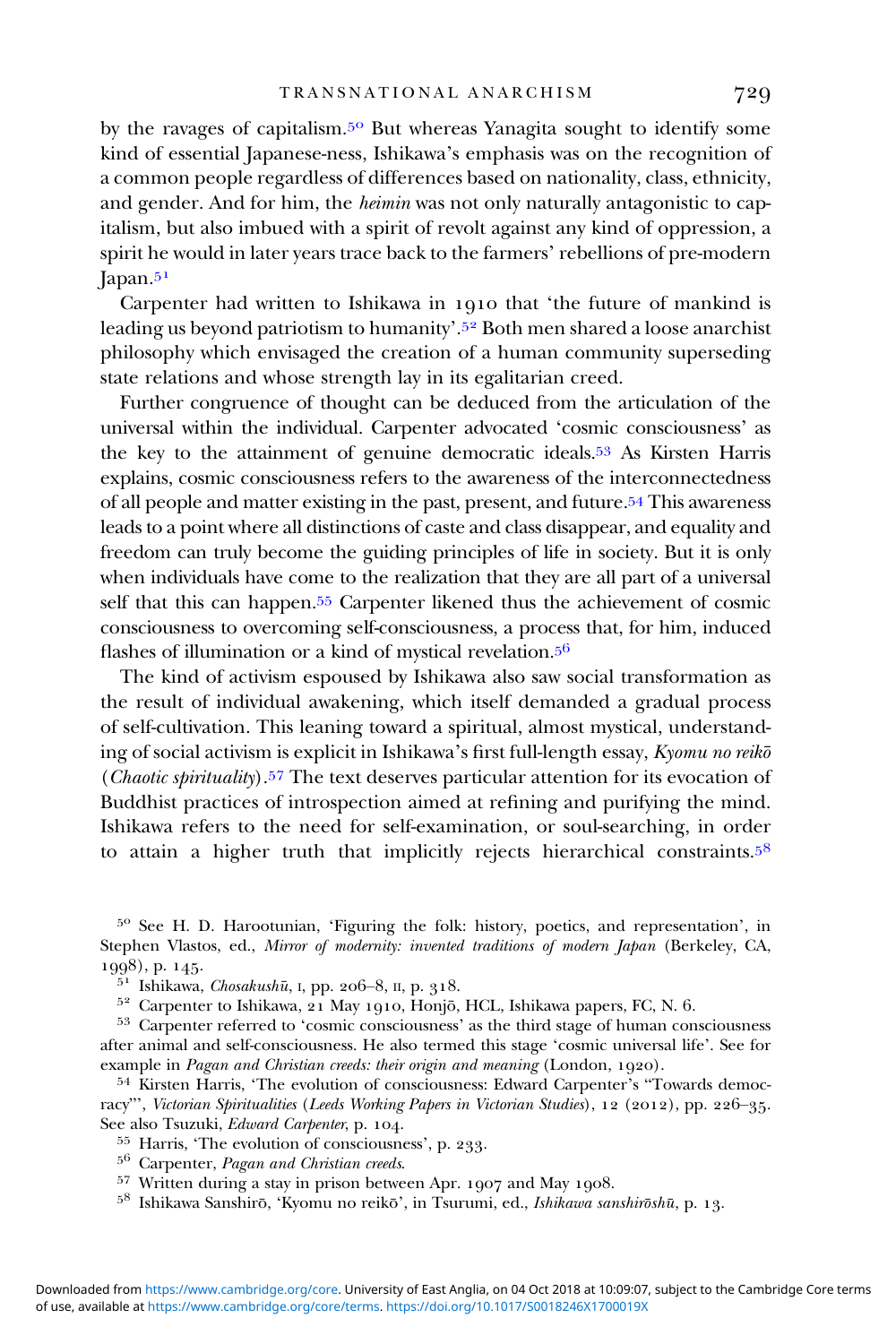by the ravages of capitalism.<sup>50</sup> But whereas Yanagita sought to identify some kind of essential Japanese-ness, Ishikawa's emphasis was on the recognition of a common people regardless of differences based on nationality, class, ethnicity, and gender. And for him, the heimin was not only naturally antagonistic to capitalism, but also imbued with a spirit of revolt against any kind of oppression, a spirit he would in later years trace back to the farmers' rebellions of pre-modern  $Iapan.<sup>51</sup>$ 

Carpenter had written to Ishikawa in 1910 that 'the future of mankind is leading us beyond patriotism to humanity'. Both men shared a loose anarchist philosophy which envisaged the creation of a human community superseding state relations and whose strength lay in its egalitarian creed.

Further congruence of thought can be deduced from the articulation of the universal within the individual. Carpenter advocated 'cosmic consciousness' as the key to the attainment of genuine democratic ideals.<sup>53</sup> As Kirsten Harris explains, cosmic consciousness refers to the awareness of the interconnectedness of all people and matter existing in the past, present, and future.<sup>54</sup> This awareness leads to a point where all distinctions of caste and class disappear, and equality and freedom can truly become the guiding principles of life in society. But it is only when individuals have come to the realization that they are all part of a universal self that this can happen.<sup>55</sup> Carpenter likened thus the achievement of cosmic consciousness to overcoming self-consciousness, a process that, for him, induced flashes of illumination or a kind of mystical revelation.<sup>56</sup>

The kind of activism espoused by Ishikawa also saw social transformation as the result of individual awakening, which itself demanded a gradual process of self-cultivation. This leaning toward a spiritual, almost mystical, understanding of social activism is explicit in Ishikawa's first full-length essay, Kyomu no reiko (*Chaotic spirituality*).<sup>57</sup> The text deserves particular attention for its evocation of Buddhist practices of introspection aimed at refining and purifying the mind. Ishikawa refers to the need for self-examination, or soul-searching, in order to attain a higher truth that implicitly rejects hierarchical constraints.<sup>58</sup>

<sup>50</sup> See H. D. Harootunian, 'Figuring the folk: history, poetics, and representation', in Stephen Vlastos, ed., Mirror of modernity: invented traditions of modern Japan (Berkeley, CA, 1998), p. 145.<br><sup>51</sup> Ishikawa, *Chosakushū*, I, pp. 206–8, II, p. 318.<br><sup>52</sup> Carpenter to Ishikawa, 21 May 1910, Honjō, HCL, Ishikawa papers, FC, N. 6.<br><sup>53</sup> Carpenter referred to 'cosmic consciousness' as the third stage of

after animal and self-consciousness. He also termed this stage 'cosmic universal life'. See for example in *Pagan and Christian creeds: their origin and meaning* (London, 1920).<br><sup>54</sup> Kirsten Harris, 'The evolution of consciousness: Edward Carpenter's "Towards democ-

racy"', Victorian Spiritualities (Leeds Working Papers in Victorian Studies), 12 (2012), pp. 226-35. See also Tsuzuki, *Edward Carpenter*, p. 104.<br>
<sup>55</sup> Harris, 'The evolution of consciousness', p. 233.<br>
<sup>56</sup> Carpenter, *Pagan and Christian creeds.*<br>
<sup>57</sup> Written during a stay in prison between Apr. 1907 and May 1908.<br>
<sup></sup>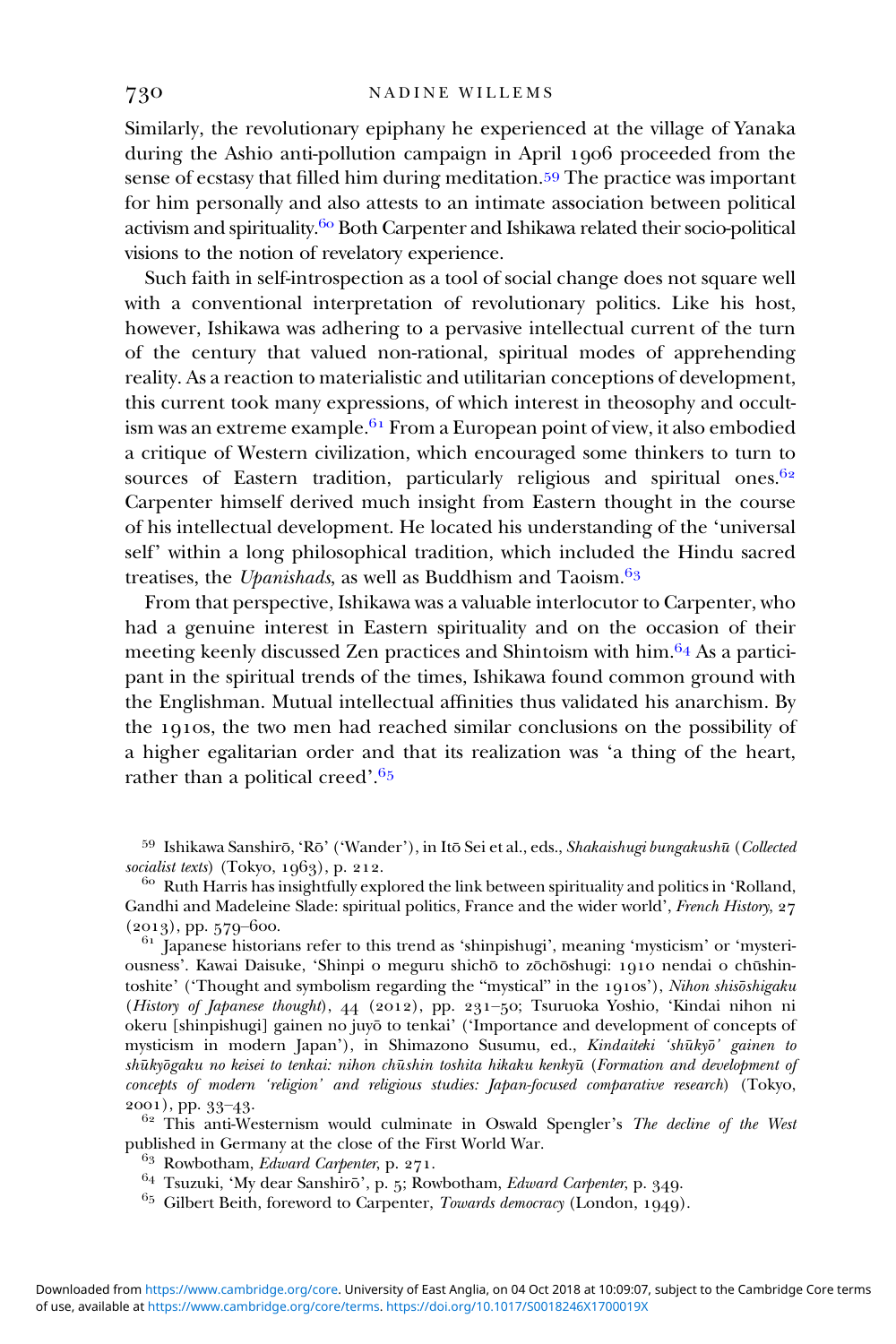Similarly, the revolutionary epiphany he experienced at the village of Yanaka during the Ashio anti-pollution campaign in April 1906 proceeded from the sense of ecstasy that filled him during meditation.<sup>59</sup> The practice was important for him personally and also attests to an intimate association between political activism and spirituality.<sup>60</sup> Both Carpenter and Ishikawa related their socio-political visions to the notion of revelatory experience.

Such faith in self-introspection as a tool of social change does not square well with a conventional interpretation of revolutionary politics. Like his host, however, Ishikawa was adhering to a pervasive intellectual current of the turn of the century that valued non-rational, spiritual modes of apprehending reality. As a reaction to materialistic and utilitarian conceptions of development, this current took many expressions, of which interest in theosophy and occultism was an extreme example.  $61$  From a European point of view, it also embodied a critique of Western civilization, which encouraged some thinkers to turn to sources of Eastern tradition, particularly religious and spiritual ones.  $62$ Carpenter himself derived much insight from Eastern thought in the course of his intellectual development. He located his understanding of the 'universal self' within a long philosophical tradition, which included the Hindu sacred treatises, the Upanishads, as well as Buddhism and Taoism. $6<sup>9</sup>$ 

From that perspective, Ishikawa was a valuable interlocutor to Carpenter, who had a genuine interest in Eastern spirituality and on the occasion of their meeting keenly discussed Zen practices and Shintoism with  $\lim_{n \to \infty}$  As a participant in the spiritual trends of the times, Ishikawa found common ground with the Englishman. Mutual intellectual affinities thus validated his anarchism. By the 1910s, the two men had reached similar conclusions on the possibility of a higher egalitarian order and that its realization was 'a thing of the heart, rather than a political creed'.<sup>65</sup>

<sup>59</sup> Ishikawa Sanshirō, 'Rō' ('Wander'), in Itō Sei et al., eds., *Shakaishugi bungakushū* (*Collected socialist texts*) (Tokyo, 1963), p. 212.

<sup>60</sup> Ruth Harris has insightfully explored the link between spirituality and politics in 'Rolland, Gandhi and Madeleine Slade: spiritual politics, France and the wider world', French History, 27 (2013), pp. 579–600.<br> $\frac{61}{1}$  Japanese historians refer to this trend as 'shinpishugi', meaning 'mysticism' or 'mysteri-

ousness'. Kawai Daisuke, 'Shinpi o meguru shichō to zōchōshugi: 1910 nendai o chūshintoshite' ('Thought and symbolism regarding the "mystical" in the 1910s'), Nihon shisōshigaku (History of Japanese thought), 44 (2012), pp. 231-50; Tsuruoka Yoshio, 'Kindai nihon ni okeru [shinpishugi] gainen no juyōto tenkai' ('Importance and development of concepts of mysticism in modern Japan'), in Shimazono Susumu, ed., Kindaiteki 'shūkyō' gainen to shūkyōgaku no keisei to tenkai: nihon chūshin toshita hikaku kenkyū (Formation and development oj concepts of modern 'religion' and religious studies: Japan-focused comparative research) (Tokyo,

2001), pp. 33–43.<br><sup>62</sup> This anti-Westernism would culminate in Oswald Spengler's *The decline of the West* published in Germany at the close of the First World War.<br><sup>63</sup> Rowbotham, *Edward Carpenter*, p. 271.

- 
- 
- <sup>64</sup> Tsuzuki, 'My dear Sanshirō', p. 5; Rowbotham, *Edward Carpenter*, p. 349.<br><sup>65</sup> Gilbert Beith, foreword to Carpenter, *Towards democracy* (London, 1949).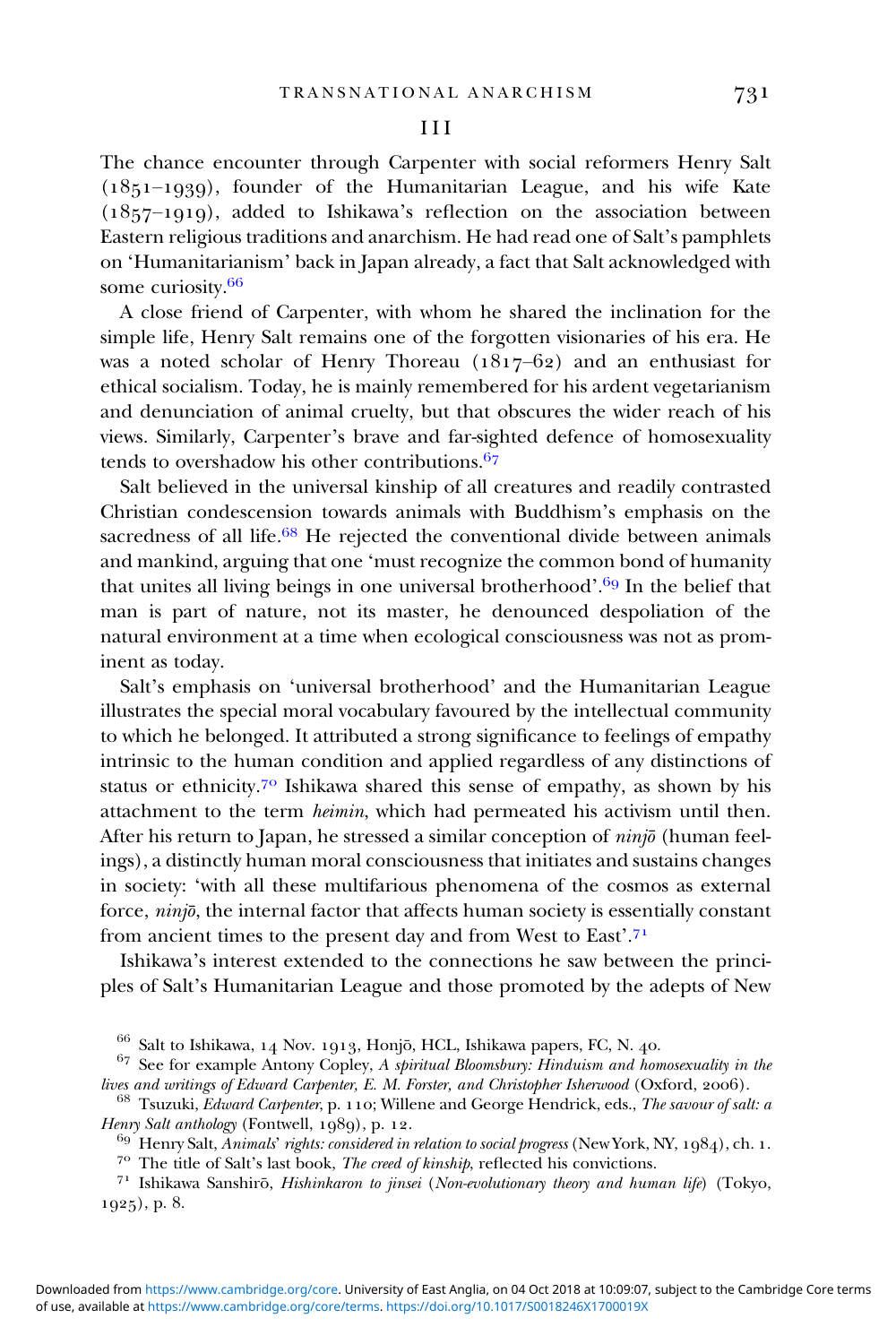## III

The chance encounter through Carpenter with social reformers Henry Salt  $(1851-1939)$ , founder of the Humanitarian League, and his wife Kate  $(1857-1919)$ , added to Ishikawa's reflection on the association between Eastern religious traditions and anarchism. He had read one of Salt's pamphlets on 'Humanitarianism' back in Japan already, a fact that Salt acknowledged with some curiosity.

A close friend of Carpenter, with whom he shared the inclination for the simple life, Henry Salt remains one of the forgotten visionaries of his era. He was a noted scholar of Henry Thoreau  $(1817-62)$  and an enthusiast for ethical socialism. Today, he is mainly remembered for his ardent vegetarianism and denunciation of animal cruelty, but that obscures the wider reach of his views. Similarly, Carpenter's brave and far-sighted defence of homosexuality tends to overshadow his other contributions. $67$ 

Salt believed in the universal kinship of all creatures and readily contrasted Christian condescension towards animals with Buddhism's emphasis on the sacredness of all life. $68$  He rejected the conventional divide between animals and mankind, arguing that one 'must recognize the common bond of humanity that unites all living beings in one universal brotherhood'.<sup>69</sup> In the belief that man is part of nature, not its master, he denounced despoliation of the natural environment at a time when ecological consciousness was not as prominent as today.

Salt's emphasis on 'universal brotherhood' and the Humanitarian League illustrates the special moral vocabulary favoured by the intellectual community to which he belonged. It attributed a strong significance to feelings of empathy intrinsic to the human condition and applied regardless of any distinctions of status or ethnicity.<sup>70</sup> Ishikawa shared this sense of empathy, as shown by his attachment to the term heimin, which had permeated his activism until then. After his return to Japan, he stressed a similar conception of  $nini\bar{o}$  (human feelings), a distinctly human moral consciousness that initiates and sustains changes in society: 'with all these multifarious phenomena of the cosmos as external force, ninjō, the internal factor that affects human society is essentially constant from ancient times to the present day and from West to East'.71

Ishikawa's interest extended to the connections he saw between the principles of Salt's Humanitarian League and those promoted by the adepts of New

 $66$  Salt to Ishikawa, 14 Nov. 1913, Honjō, HCL, Ishikawa papers, FC, N. 40.<br> $67$  See for example Antony Copley, A spiritual Bloomsbury: Hinduism and homosexuality in the lives and writings of Edward Carpenter, E. M. Forster, and Christopher Isherwood (Oxford, 2006).  $^{68}$  Tsuzuki, Edward Carpenter, p. 110; Willene and George Hendrick, eds., The savour of salt: a

Henry Salt anthology (Fontwell, 1989), p. 12.<br><sup>69</sup> Henry Salt, *Animals' rights: considered in relation to social progress* (New York, NY, 1984), ch. 1.<br><sup>70</sup> The title of Salt's last book, *The creed of kinship*, reflecte

 $1925$ , p. 8.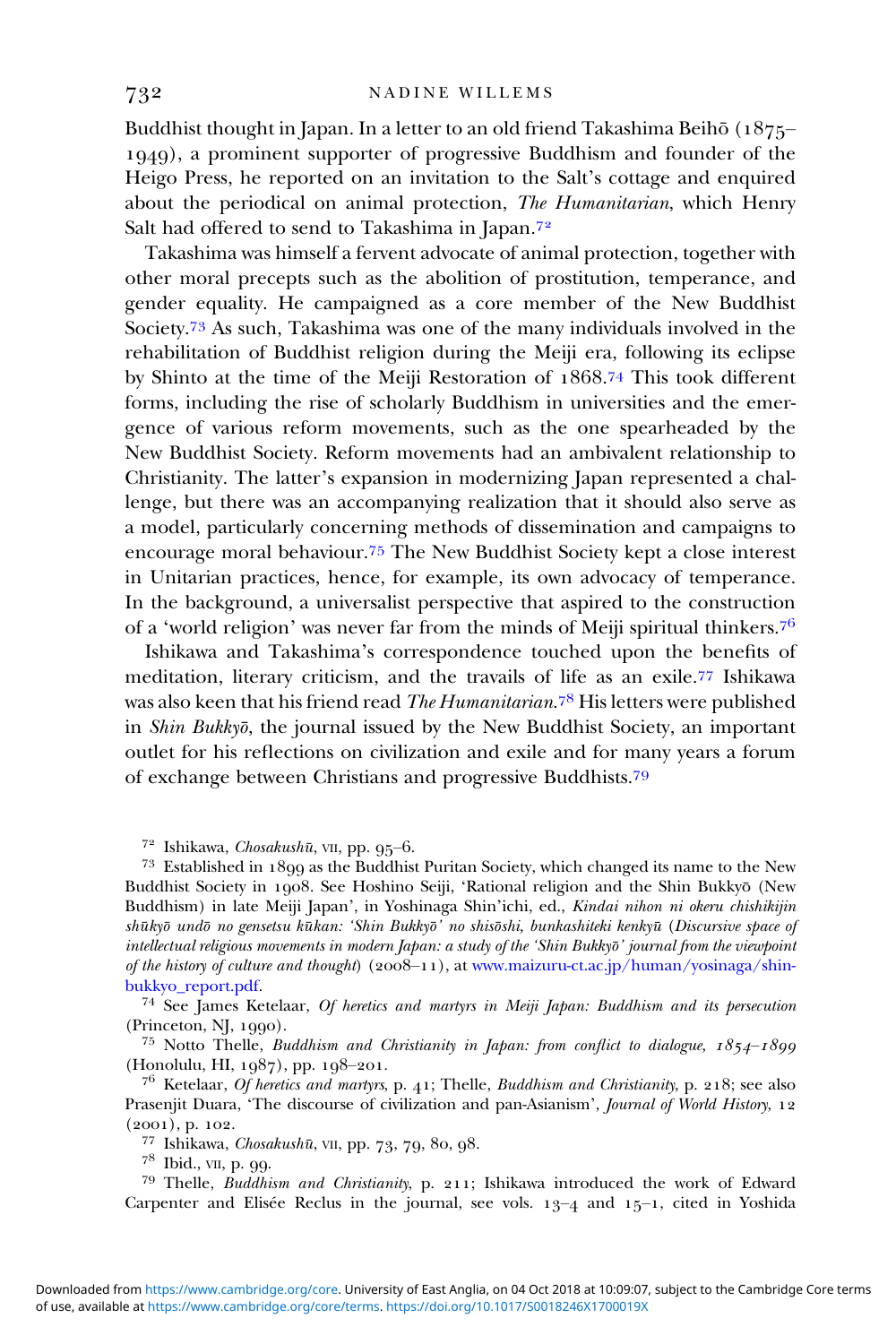Buddhist thought in Japan. In a letter to an old friend Takashima Beihō  $(1875-$ ), a prominent supporter of progressive Buddhism and founder of the Heigo Press, he reported on an invitation to the Salt's cottage and enquired about the periodical on animal protection, The Humanitarian, which Henry Salt had offered to send to Takashima in Japan.<sup>72</sup>

Takashima was himself a fervent advocate of animal protection, together with other moral precepts such as the abolition of prostitution, temperance, and gender equality. He campaigned as a core member of the New Buddhist Society.<sup>73</sup> As such, Takashima was one of the many individuals involved in the rehabilitation of Buddhist religion during the Meiji era, following its eclipse by Shinto at the time of the Meiji Restoration of 1868.<sup>74</sup> This took different forms, including the rise of scholarly Buddhism in universities and the emergence of various reform movements, such as the one spearheaded by the New Buddhist Society. Reform movements had an ambivalent relationship to Christianity. The latter's expansion in modernizing Japan represented a challenge, but there was an accompanying realization that it should also serve as a model, particularly concerning methods of dissemination and campaigns to encourage moral behaviour.<sup>75</sup> The New Buddhist Society kept a close interest in Unitarian practices, hence, for example, its own advocacy of temperance. In the background, a universalist perspective that aspired to the construction of a 'world religion' was never far from the minds of Meiji spiritual thinkers.

Ishikawa and Takashima's correspondence touched upon the benefits of meditation, literary criticism, and the travails of life as an exile.<sup>77</sup> Ishikawa was also keen that his friend read *The Humanitarian.*78 His letters were published in Shin Bukkyō, the journal issued by the New Buddhist Society, an important outlet for his reflections on civilization and exile and for many years a forum of exchange between Christians and progressive Buddhists.

<sup>72</sup> Ishikawa, *Chosakushū*, vII, pp. 95–6.<br><sup>73</sup> Established in 1899 as the Buddhist Puritan Society, which changed its name to the New Buddhist Society in 1908. See Hoshino Seiji, 'Rational religion and the Shin Bukkyō (New Buddhism) in late Meiji Japan', in Yoshinaga Shin'ichi, ed., Kindai nihon ni okeru chishikijin shūkyō undō no gensetsu kūkan: 'Shin Bukkyō' no shisōshi, bunkashiteki kenkyū (Discursive space oj intellectual religious movements in modern Japan: a study of the 'Shin Bukkyo'̄ journal from the viewpoint of the history of culture and thought)  $(2008-11)$ , at www.maizuru-ct.ac.jp/human/yosinaga/shin-bukkyo\_report.pdf.

<sup>74</sup> See James Ketelaar, Of heretics and martyrs in Meiji Japan: Buddhism and its persecution

(Princeton, NJ, 1990).<br><sup>75</sup> Notto Thelle, *Buddhism and Christianity in Japan: from conflict to dialogue, 1854–1899*<br>(Honolulu, HI, 1987), pp. 198–201.

 $^{76}$  Ketelaar, Of heretics and martyrs, p. 41; Thelle, Buddhism and Christianity, p. 218; see also Prasenjit Duara, 'The discourse of civilization and pan-Asianism', Journal of World History, 12 (2001), p. 102.<br>
<sup>77</sup> Ishikawa, *Chosakushū*, vII, pp. 73, 79, 80, 98.<br>
<sup>78</sup> Ibid., vII, p. 99.<br>
<sup>79</sup> Thelle, *Buddhism and Christianity*, p. 211; Ishikawa introduced the work of Edward

Carpenter and Elisée Reclus in the journal, see vols.  $13-4$  and  $15-1$ , cited in Yoshida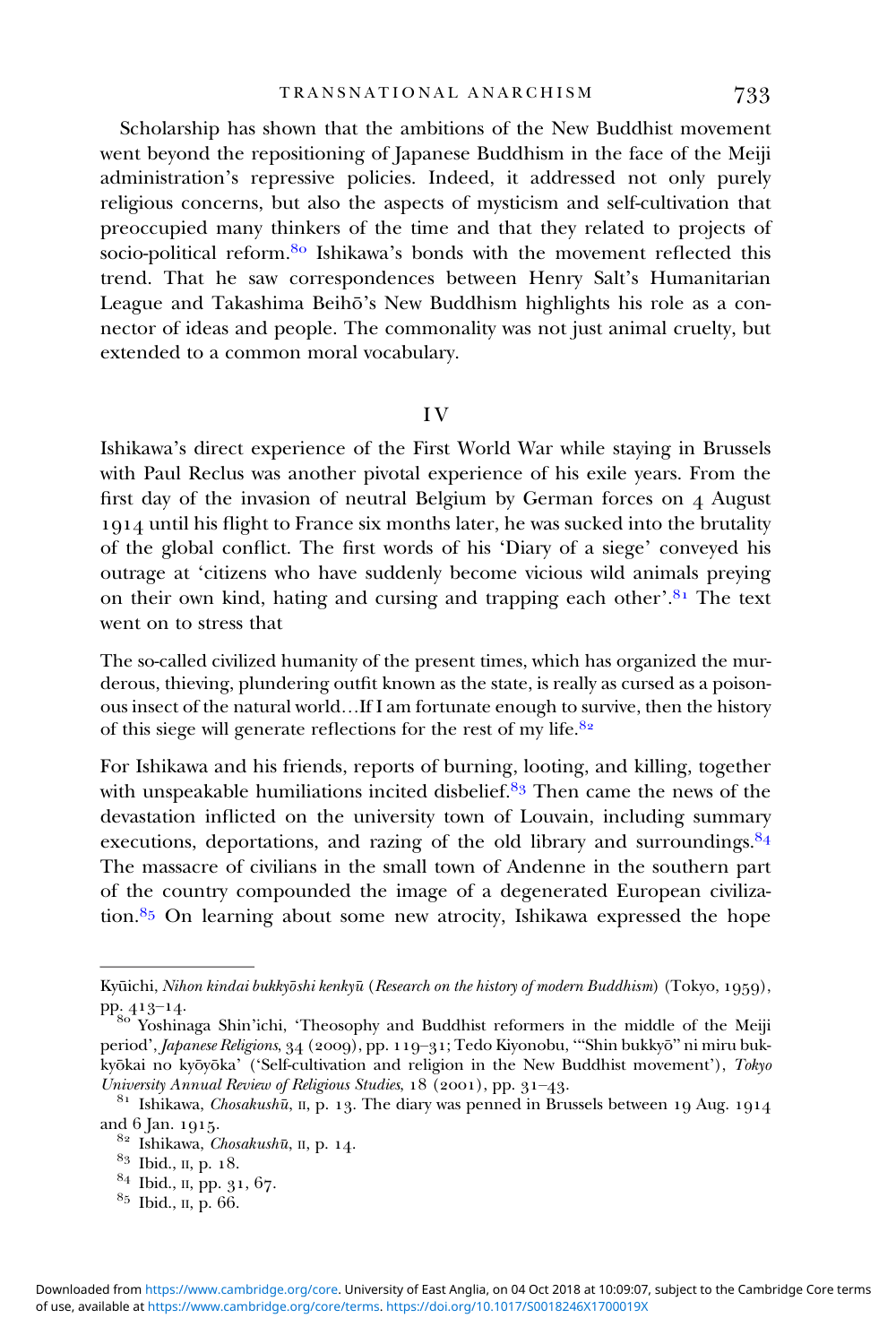Scholarship has shown that the ambitions of the New Buddhist movement went beyond the repositioning of Japanese Buddhism in the face of the Meiji administration's repressive policies. Indeed, it addressed not only purely religious concerns, but also the aspects of mysticism and self-cultivation that preoccupied many thinkers of the time and that they related to projects of socio-political reform. <sup>80</sup> Ishikawa's bonds with the movement reflected this trend. That he saw correspondences between Henry Salt's Humanitarian League and Takashima Beihō's New Buddhism highlights his role as a connector of ideas and people. The commonality was not just animal cruelty, but extended to a common moral vocabulary.

## I V

Ishikawa's direct experience of the First World War while staying in Brussels with Paul Reclus was another pivotal experience of his exile years. From the first day of the invasion of neutral Belgium by German forces on August until his flight to France six months later, he was sucked into the brutality of the global conflict. The first words of his 'Diary of a siege' conveyed his outrage at 'citizens who have suddenly become vicious wild animals preying on their own kind, hating and cursing and trapping each other'.<sup>81</sup> The text went on to stress that

The so-called civilized humanity of the present times, which has organized the murderous, thieving, plundering outfit known as the state, is really as cursed as a poisonous insect of the natural world…If I am fortunate enough to survive, then the history of this siege will generate reflections for the rest of my life.

For Ishikawa and his friends, reports of burning, looting, and killing, together with unspeakable humiliations incited disbelief. $8<sup>3</sup>$  Then came the news of the devastation inflicted on the university town of Louvain, including summary executions, deportations, and razing of the old library and surroundings.<sup>84</sup> The massacre of civilians in the small town of Andenne in the southern part of the country compounded the image of a degenerated European civilization. $85$  On learning about some new atrocity, Ishikawa expressed the hope

Kyūichi, Nihon kindai bukkyōshi kenkyū (Research on the history of modern Buddhism) (Tokyo, 1959), pp. 413–14.<br><sup>80</sup> Yoshinaga Shin'ichi, 'Theosophy and Buddhist reformers in the middle of the Meiji

period', Japanese Religions, 34 (2009), pp. 119-31; Tedo Kiyonobu, "'Shin bukkyō" ni miru bukkyōkai no kyōyōka' ('Self-cultivation and religion in the New Buddhist movement'), Tokyo

University Annual Review of Religious Studies,  $18$  (2001), pp. 31–43.<br><sup>81</sup> Ishikawa, *Chosakushū*, II, p. 13. The diary was penned in Brussels between 19 Aug. 1914<br>and 6 Jan. 1915.

<sup>&</sup>lt;sup>82</sup> Ishikawa, *Chosakushū*, II, p. 14.<br><sup>83</sup> Ibid., II, p. 18.<br><sup>84</sup> Ibid., II, pp. 31, 67.<br><sup>85</sup> Ibid., II, p. 66.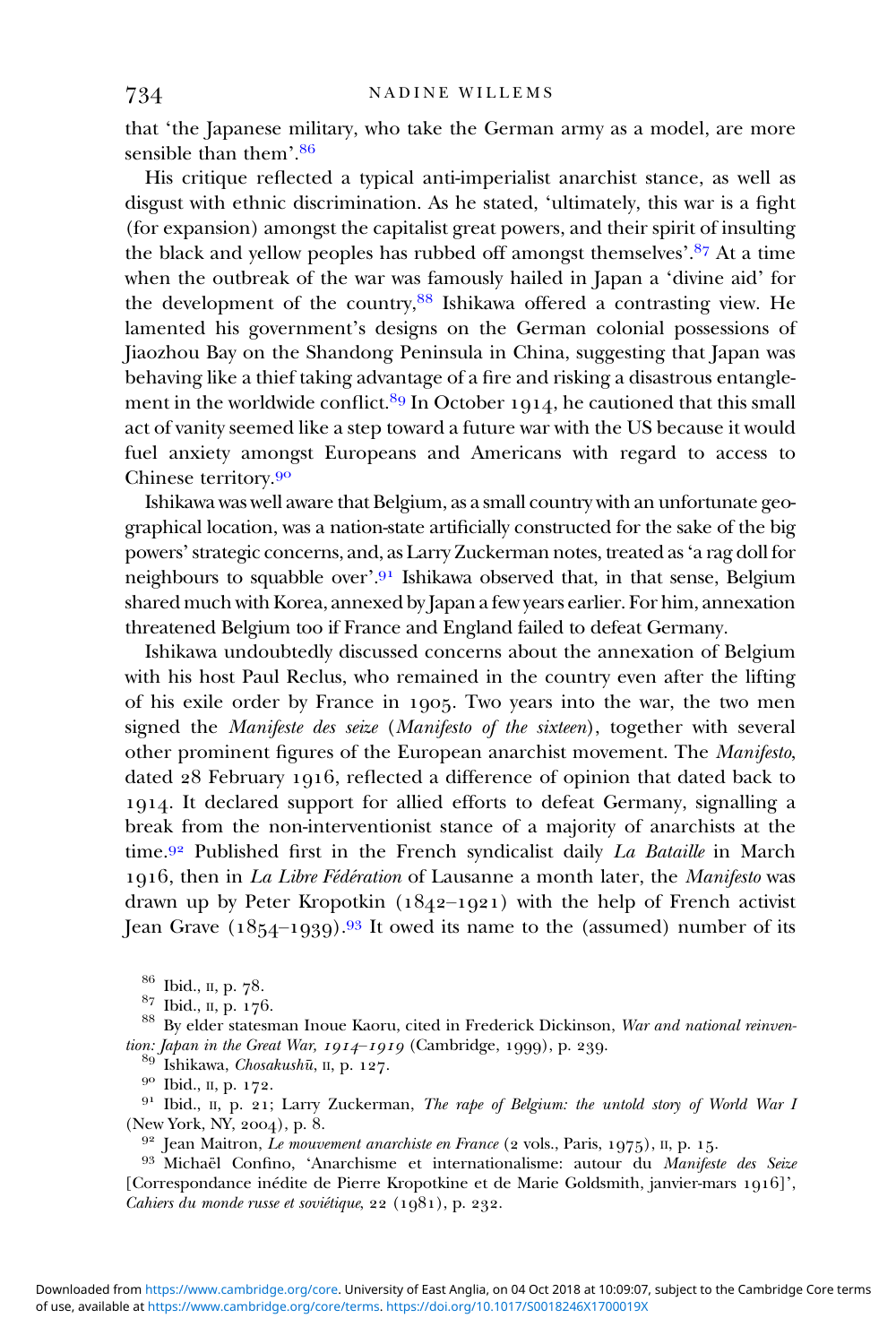that 'the Japanese military, who take the German army as a model, are more sensible than them'.<sup>86</sup>

His critique reflected a typical anti-imperialist anarchist stance, as well as disgust with ethnic discrimination. As he stated, 'ultimately, this war is a fight (for expansion) amongst the capitalist great powers, and their spirit of insulting the black and yellow peoples has rubbed off amongst themselves'.<sup>87</sup> At a time when the outbreak of the war was famously hailed in Japan a 'divine aid' for the development of the country, 88 Ishikawa offered a contrasting view. He lamented his government's designs on the German colonial possessions of Jiaozhou Bay on the Shandong Peninsula in China, suggesting that Japan was behaving like a thief taking advantage of a fire and risking a disastrous entanglement in the worldwide conflict.<sup>89</sup> In October 1914, he cautioned that this small act of vanity seemed like a step toward a future war with the US because it would fuel anxiety amongst Europeans and Americans with regard to access to Chinese territory.<sup>90</sup>

Ishikawa was well aware that Belgium, as a small country with an unfortunate geographical location, was a nation-state artificially constructed for the sake of the big powers'strategic concerns, and, as Larry Zuckerman notes, treated as'a rag doll for neighbours to squabble over'.<sup>91</sup> Ishikawa observed that, in that sense, Belgium shared much with Korea, annexed by Japan a few years earlier. For him, annexation threatened Belgium too if France and England failed to defeat Germany.

Ishikawa undoubtedly discussed concerns about the annexation of Belgium with his host Paul Reclus, who remained in the country even after the lifting of his exile order by France in 1905. Two years into the war, the two men signed the Manifeste des seize (Manifesto of the sixteen), together with several other prominent figures of the European anarchist movement. The Manifesto, dated 28 February 1916, reflected a difference of opinion that dated back to . It declared support for allied efforts to defeat Germany, signalling a break from the non-interventionist stance of a majority of anarchists at the time.<sup>92</sup> Published first in the French syndicalist daily *La Bataille* in March 1916, then in La Libre Fédération of Lausanne a month later, the Manifesto was drawn up by Peter Kropotkin  $(1842-1921)$  with the help of French activist Jean Grave  $(1854-1939).$ <sup>93</sup> It owed its name to the (assumed) number of its

<sup>86</sup> Ibid., II, p. 78.<br><sup>87</sup> Ibid., II, p. 176.<br><sup>88</sup> By elder statesman Inoue Kaoru, cited in Frederick Dickinson, *War and national reinven-*<br>*tion: Japan in the Great War, 1914–1919* (Cambridge, 1999), p. 239.

<sup>89</sup> Ishikawa, *Chosakushū*, II, p. 127.<br><sup>90</sup> Ibid., II, p. 172.<br><sup>91</sup> Ibid., II, p. 21; Larry Zuckerman, *The rape of Belgium: the untold story of World War I* (New York, NY, 2004), p. 8.<br>
<sup>92</sup> Jean Maitron, *Le mouvement anarchiste en France* (2 vols., Paris, 1975), II, p. 15.<br>
<sup>93</sup> Michaël Confino, 'Anarchisme et internationalisme: autour du *Manifeste des Seize* 

[Correspondance inédite de Pierre Kropotkine et de Marie Goldsmith, janvier-mars 1916]', Cahiers du monde russe et soviétique,  $22$   $(1981)$ , p.  $232$ .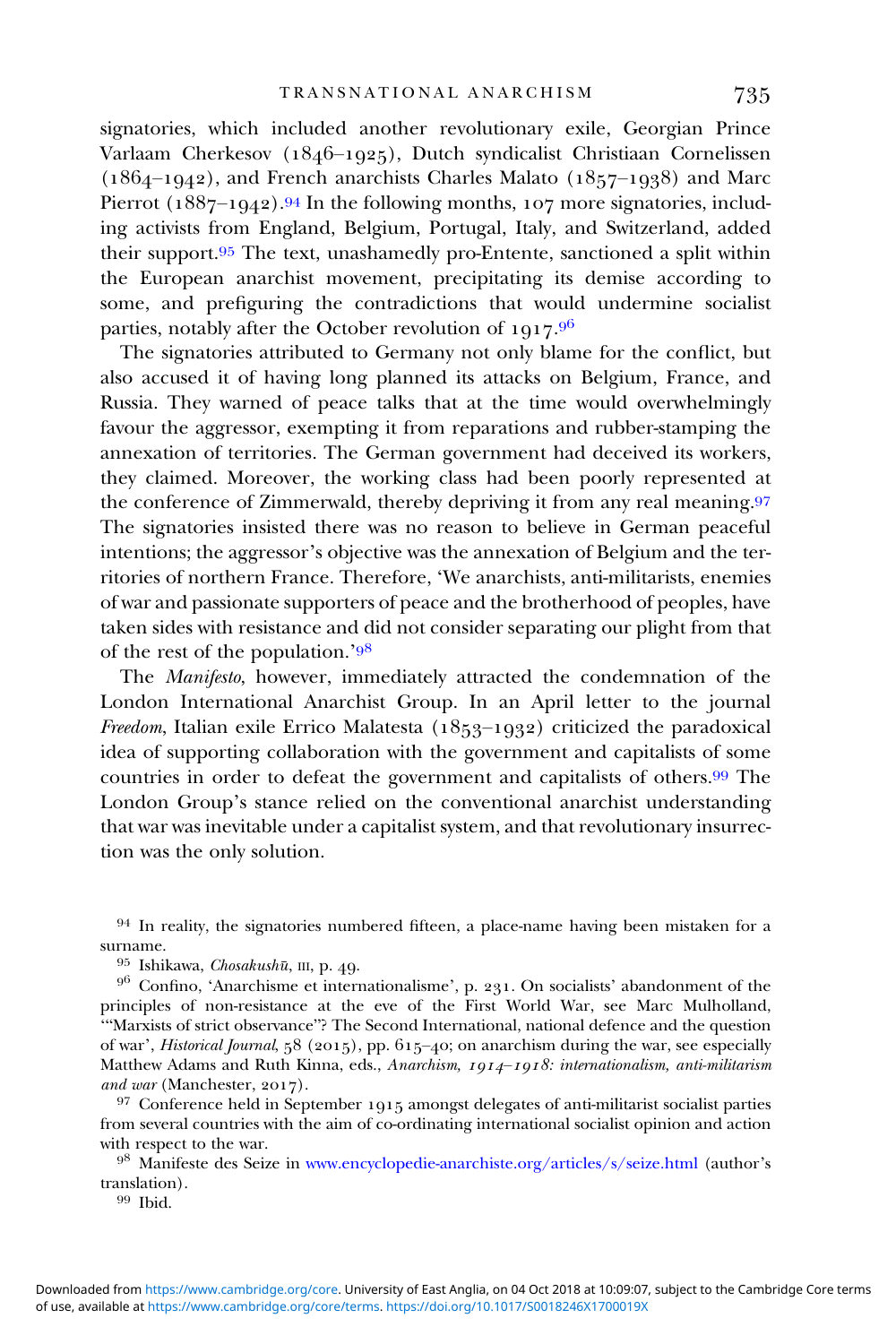signatories, which included another revolutionary exile, Georgian Prince Varlaam Cherkesov (1846–1925), Dutch syndicalist Christiaan Cornelissen  $(1864-1942)$ , and French anarchists Charles Malato  $(1857-1938)$  and Marc Pierrot  $(1887-1942).94$  In the following months,  $107$  more signatories, including activists from England, Belgium, Portugal, Italy, and Switzerland, added their support.<sup>95</sup> The text, unashamedly pro-Entente, sanctioned a split within the European anarchist movement, precipitating its demise according to some, and prefiguring the contradictions that would undermine socialist parties, notably after the October revolution of  $1917.^{96}$ 

The signatories attributed to Germany not only blame for the conflict, but also accused it of having long planned its attacks on Belgium, France, and Russia. They warned of peace talks that at the time would overwhelmingly favour the aggressor, exempting it from reparations and rubber-stamping the annexation of territories. The German government had deceived its workers, they claimed. Moreover, the working class had been poorly represented at the conference of Zimmerwald, thereby depriving it from any real meaning. The signatories insisted there was no reason to believe in German peaceful intentions; the aggressor's objective was the annexation of Belgium and the territories of northern France. Therefore, 'We anarchists, anti-militarists, enemies of war and passionate supporters of peace and the brotherhood of peoples, have taken sides with resistance and did not consider separating our plight from that of the rest of the population.<sup>'98</sup>

The Manifesto, however, immediately attracted the condemnation of the London International Anarchist Group. In an April letter to the journal Freedom, Italian exile Errico Malatesta ( $1853-1932$ ) criticized the paradoxical idea of supporting collaboration with the government and capitalists of some countries in order to defeat the government and capitalists of others.<sup>99</sup> The London Group's stance relied on the conventional anarchist understanding that war was inevitable under a capitalist system, and that revolutionary insurrection was the only solution.

principles of non-resistance at the eve of the First World War, see Marc Mulholland, '"Marxists of strict observance"? The Second International, national defence and the question of war', Historical Journal, 58 (2015), pp. 615-40; on anarchism during the war, see especially Matthew Adams and Ruth Kinna, eds., Anarchism, 1914-1918: internationalism, anti-militarism and war (Manchester, 2017).<br><sup>97</sup> Conference held in September 1915 amongst delegates of anti-militarist socialist parties

from several countries with the aim of co-ordinating international socialist opinion and action with respect to the war.

 Manifeste des Seize in [www.encyclopedie-anarchiste.org/articles/s/seize.html](http://www.encyclopedie-anarchiste.org/articles/s/seize.html) (author's translation).<br> $\frac{99 \text{ Ibid.}}{1}$ 

 $94$  In reality, the signatories numbered fifteen, a place-name having been mistaken for a surname.<br> <sup>95</sup> Ishikawa, *Chosakushū*, III, p. 49.<br> <sup>96</sup> Confino, 'Anarchisme et internationalisme', p. 231. On socialists' abandonment of the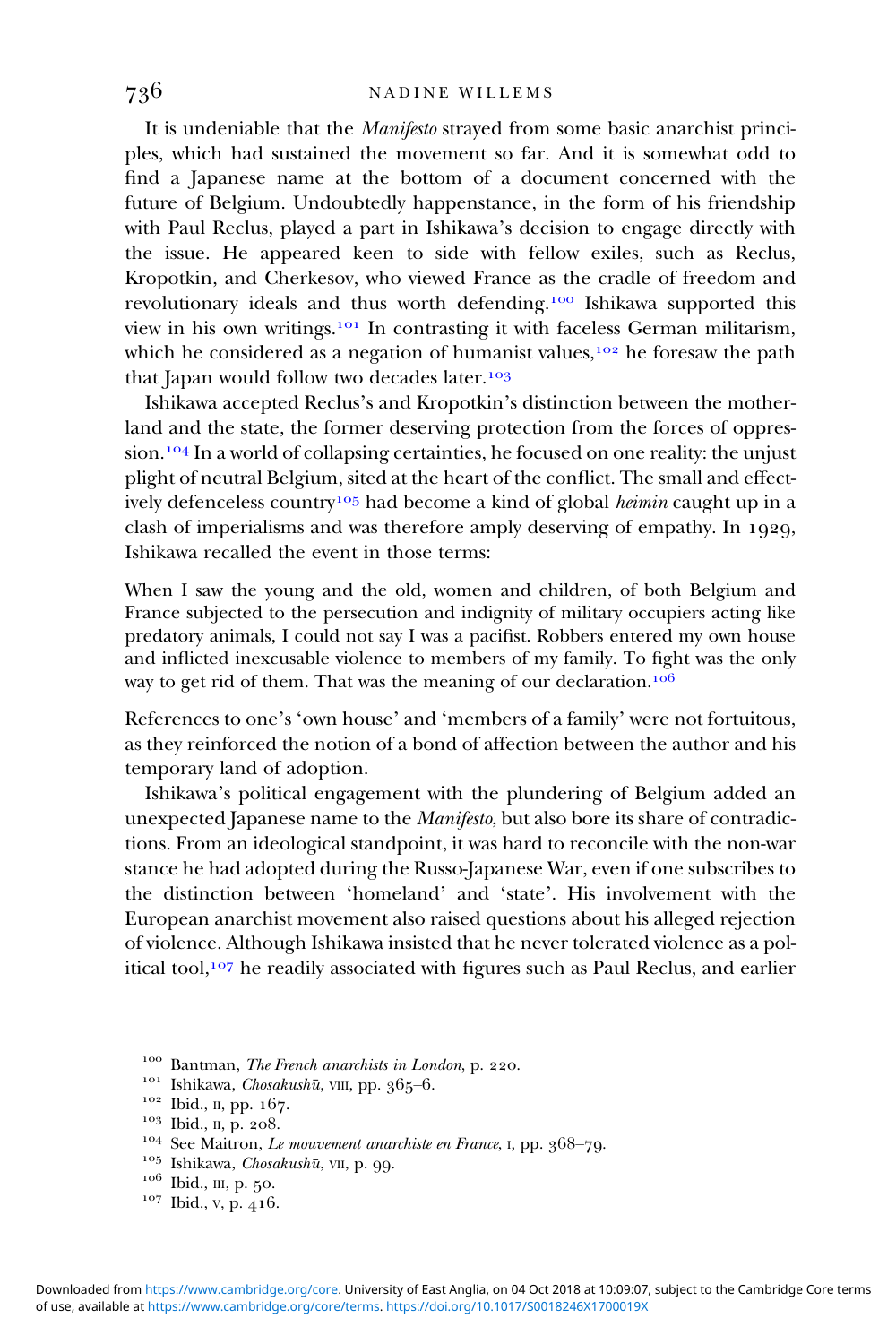It is undeniable that the Manifesto strayed from some basic anarchist principles, which had sustained the movement so far. And it is somewhat odd to find a Japanese name at the bottom of a document concerned with the future of Belgium. Undoubtedly happenstance, in the form of his friendship with Paul Reclus, played a part in Ishikawa's decision to engage directly with the issue. He appeared keen to side with fellow exiles, such as Reclus, Kropotkin, and Cherkesov, who viewed France as the cradle of freedom and revolutionary ideals and thus worth defending.<sup>100</sup> Ishikawa supported this view in his own writings.<sup>101</sup> In contrasting it with faceless German militarism, which he considered as a negation of humanist values,  $102$  he foresaw the path that Japan would follow two decades later.<sup>103</sup>

Ishikawa accepted Reclus's and Kropotkin's distinction between the motherland and the state, the former deserving protection from the forces of oppression.<sup>104</sup> In a world of collapsing certainties, he focused on one reality: the unjust plight of neutral Belgium, sited at the heart of the conflict. The small and effectively defenceless country<sup>105</sup> had become a kind of global *heimin* caught up in a clash of imperialisms and was therefore amply deserving of empathy. In  $1929$ , Ishikawa recalled the event in those terms:

When I saw the young and the old, women and children, of both Belgium and France subjected to the persecution and indignity of military occupiers acting like predatory animals, I could not say I was a pacifist. Robbers entered my own house and inflicted inexcusable violence to members of my family. To fight was the only way to get rid of them. That was the meaning of our declaration.<sup>106</sup>

References to one's 'own house' and 'members of a family' were not fortuitous, as they reinforced the notion of a bond of affection between the author and his temporary land of adoption.

Ishikawa's political engagement with the plundering of Belgium added an unexpected Japanese name to the Manifesto, but also bore its share of contradictions. From an ideological standpoint, it was hard to reconcile with the non-war stance he had adopted during the Russo-Japanese War, even if one subscribes to the distinction between 'homeland' and 'state'. His involvement with the European anarchist movement also raised questions about his alleged rejection of violence. Although Ishikawa insisted that he never tolerated violence as a political tool,<sup>107</sup> he readily associated with figures such as Paul Reclus, and earlier

- 
- 
- 
- <sup>100</sup> Bantman, *The French anarchists in London*, p. 220.<br><sup>101</sup> Ishikawa, *Chosakushū*, VIII, pp. 365–6.<br><sup>102</sup> Ibid., II, pp. 167.<br><sup>103</sup> Ibid., II, p. 208.<br><sup>104</sup> See Maitron, *Le mouvement anarchiste en France*, 1, pp. 36
- 
- 
-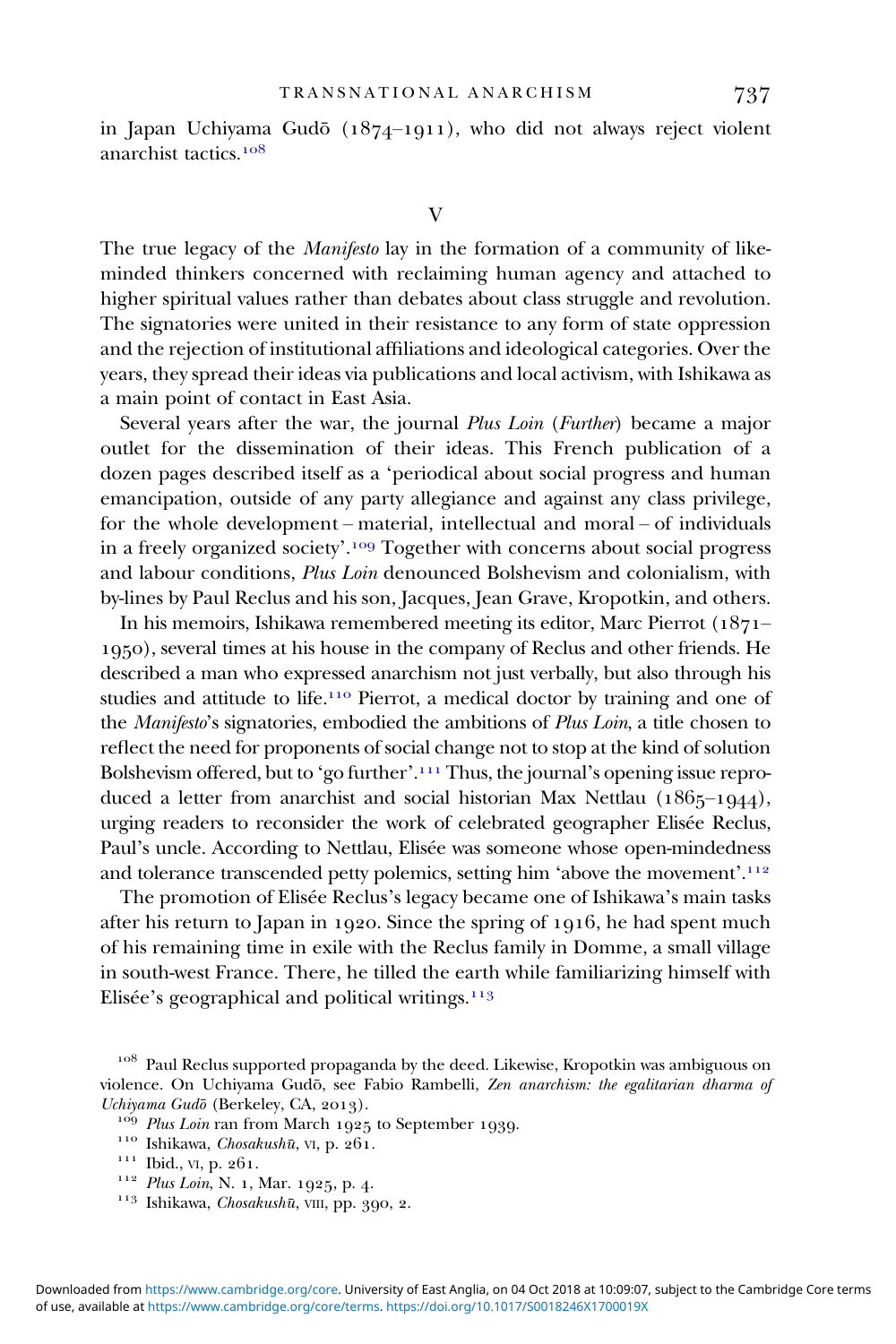in Japan Uchiyama Gudō  $(1874-1911)$ , who did not always reject violent anarchist tactics.

The true legacy of the *Manifesto* lay in the formation of a community of likeminded thinkers concerned with reclaiming human agency and attached to higher spiritual values rather than debates about class struggle and revolution. The signatories were united in their resistance to any form of state oppression and the rejection of institutional affiliations and ideological categories. Over the years, they spread their ideas via publications and local activism, with Ishikawa as a main point of contact in East Asia.

Several years after the war, the journal Plus Loin (Further) became a major outlet for the dissemination of their ideas. This French publication of a dozen pages described itself as a 'periodical about social progress and human emancipation, outside of any party allegiance and against any class privilege, for the whole development – material, intellectual and moral – of individuals in a freely organized society'.<sup>109</sup> Together with concerns about social progress and labour conditions, Plus Loin denounced Bolshevism and colonialism, with by-lines by Paul Reclus and his son, Jacques, Jean Grave, Kropotkin, and others.

In his memoirs, Ishikawa remembered meeting its editor, Marc Pierrot  $(1871 -$ ), several times at his house in the company of Reclus and other friends. He described a man who expressed anarchism not just verbally, but also through his studies and attitude to life.<sup>110</sup> Pierrot, a medical doctor by training and one of the Manifesto's signatories, embodied the ambitions of Plus Loin, a title chosen to reflect the need for proponents of social change not to stop at the kind of solution Bolshevism offered, but to 'go further'.<sup>111</sup> Thus, the journal's opening issue reproduced a letter from anarchist and social historian Max Nettlau  $(1865-1944)$ , urging readers to reconsider the work of celebrated geographer Elisée Reclus, Paul's uncle. According to Nettlau, Elisée was someone whose open-mindedness and tolerance transcended petty polemics, setting him 'above the movement'.<sup>112</sup>

The promotion of Elisée Reclus's legacy became one of Ishikawa's main tasks after his return to Japan in 1920. Since the spring of 1916, he had spent much of his remaining time in exile with the Reclus family in Domme, a small village in south-west France. There, he tilled the earth while familiarizing himself with Elisée's geographical and political writings.

<sup>&</sup>lt;sup>108</sup> Paul Reclus supported propaganda by the deed. Likewise, Kropotkin was ambiguous on violence. On Uchiyama Gudō, see Fabio Rambelli, Zen anarchism: the egalitarian dharma of Uchiyama Gudō (Berkeley, CA, 2013).

<sup>&</sup>lt;sup>109</sup> Plus Loin ran from March 1925 to September 1939.<br><sup>110</sup> Ishikawa, *Chosakushū*, vI, p. 261.<br><sup>111</sup> Ibid., vI, p. 261.<br><sup>112</sup> Plus Loin, N. 1, Mar. 1925, p. 4.<br><sup>113</sup> Ishikawa, *Chosakushū*, vIII, pp. 390, 2.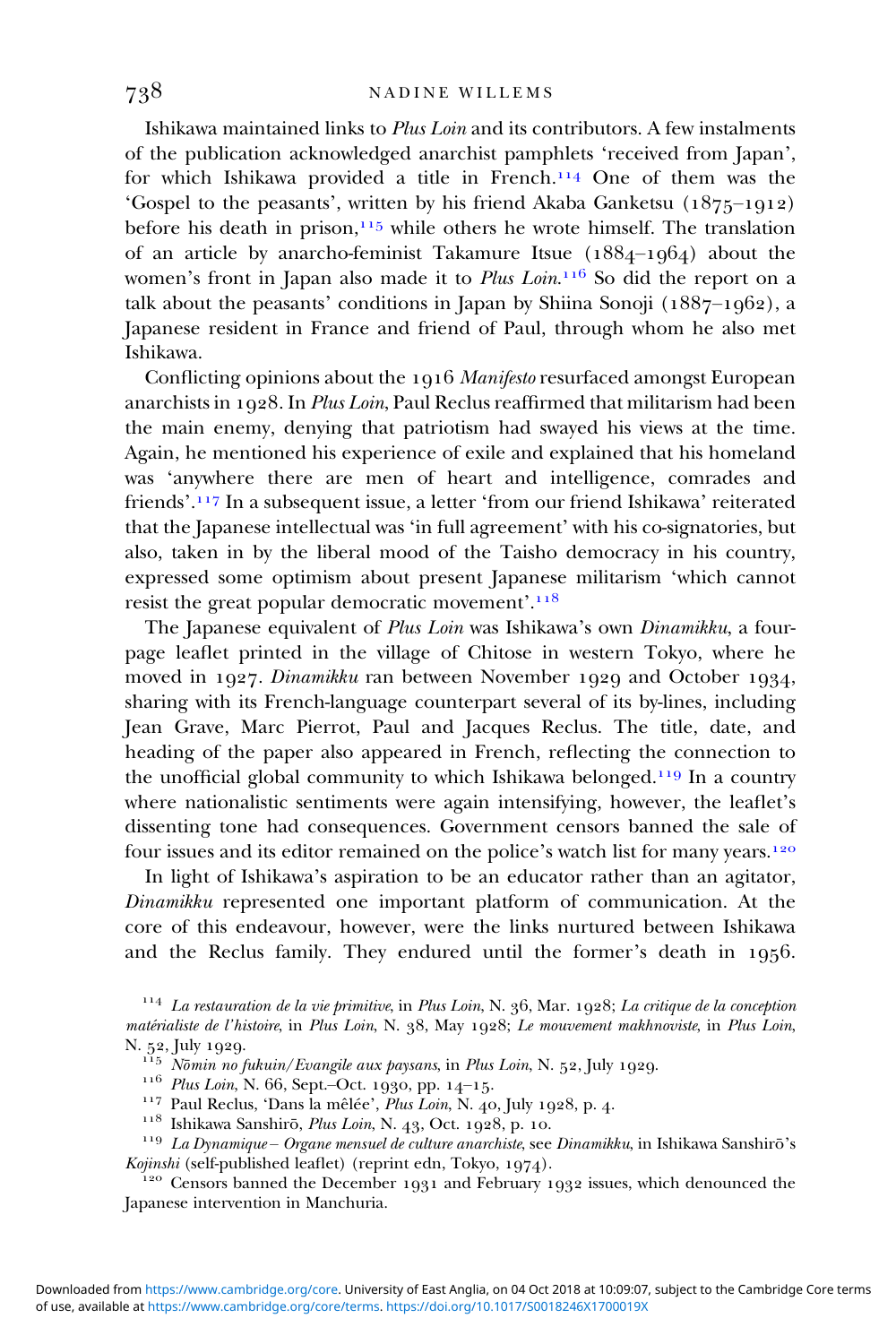Ishikawa maintained links to Plus Loin and its contributors. A few instalments of the publication acknowledged anarchist pamphlets 'received from Japan', for which Ishikawa provided a title in French.<sup>114</sup> One of them was the 'Gospel to the peasants', written by his friend Akaba Ganketsu  $(1875-1912)$ before his death in prison,  $115$  while others he wrote himself. The translation of an article by anarcho-feminist Takamure Itsue  $(1884-1064)$  about the women's front in Japan also made it to *Plus Loin*.<sup>116</sup> So did the report on a talk about the peasants' conditions in Japan by Shiina Sonoji ( $1887-1962$ ), a Japanese resident in France and friend of Paul, through whom he also met Ishikawa.

Conflicting opinions about the 1916 Manifesto resurfaced amongst European anarchists in  $1928$ . In *Plus Loin*, Paul Reclus reaffirmed that militarism had been the main enemy, denying that patriotism had swayed his views at the time. Again, he mentioned his experience of exile and explained that his homeland was 'anywhere there are men of heart and intelligence, comrades and friends'. In a subsequent issue, a letter 'from our friend Ishikawa' reiterated that the Japanese intellectual was 'in full agreement' with his co-signatories, but also, taken in by the liberal mood of the Taisho democracy in his country, expressed some optimism about present Japanese militarism 'which cannot resist the great popular democratic movement'.<sup>118</sup>

The Japanese equivalent of Plus Loin was Ishikawa's own Dinamikku, a fourpage leaflet printed in the village of Chitose in western Tokyo, where he moved in 1927. Dinamikku ran between November 1929 and October 1934, sharing with its French-language counterpart several of its by-lines, including Jean Grave, Marc Pierrot, Paul and Jacques Reclus. The title, date, and heading of the paper also appeared in French, reflecting the connection to the unofficial global community to which Ishikawa belonged.<sup>119</sup> In a country where nationalistic sentiments were again intensifying, however, the leaflet's dissenting tone had consequences. Government censors banned the sale of four issues and its editor remained on the police's watch list for many years.

In light of Ishikawa's aspiration to be an educator rather than an agitator, Dinamikku represented one important platform of communication. At the core of this endeavour, however, were the links nurtured between Ishikawa and the Reclus family. They endured until the former's death in 1956.

<sup>115</sup> Nōmin no fukuin/Evangile aux paysans, in Plus Loin, N. 52, July 1929.<br><sup>116</sup> Plus Loin, N. 66, Sept.-Oct. 1930, pp. 14-15.<br><sup>117</sup> Paul Reclus, 'Dans la mêlée', Plus Loin, N. 40, July 1928, p. 4.<br><sup>118</sup> Ishikawa Sanshir

<sup>120</sup> Censors banned the December 1931 and February 1932 issues, which denounced the Japanese intervention in Manchuria.

 $^{114}$  La restauration de la vie primitive, in Plus Loin, N. 36, Mar. 1928; La critique de la conception matérialiste de l'histoire, in Plus Loin, N. 38, May 1928; Le mouvement makhnoviste, in Plus Loin, N. 52, July 1929.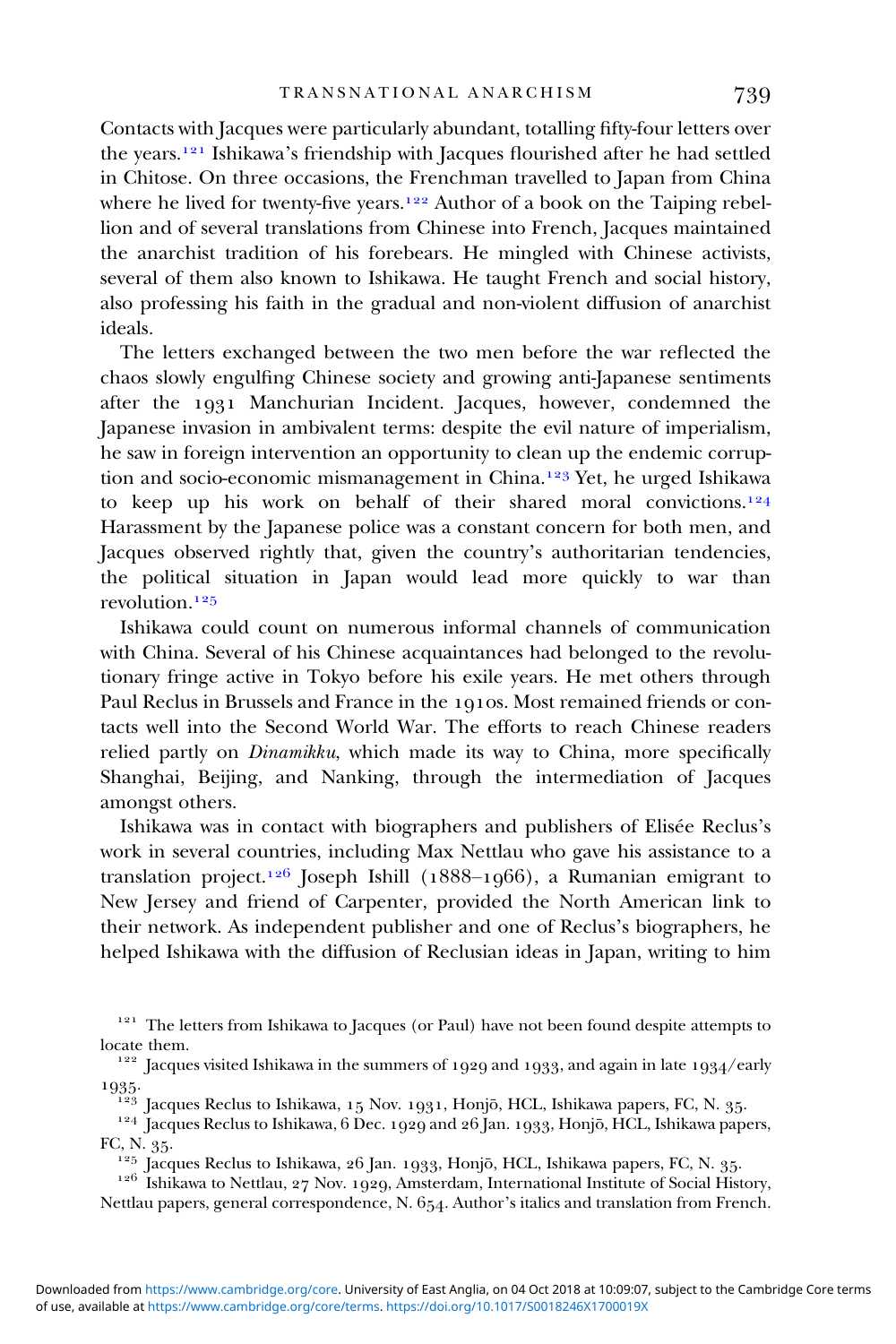Contacts with Jacques were particularly abundant, totalling fifty-four letters over the years.<sup>121</sup> Ishikawa's friendship with Jacques flourished after he had settled in Chitose. On three occasions, the Frenchman travelled to Japan from China where he lived for twenty-five years.<sup>122</sup> Author of a book on the Taiping rebellion and of several translations from Chinese into French, Jacques maintained the anarchist tradition of his forebears. He mingled with Chinese activists, several of them also known to Ishikawa. He taught French and social history, also professing his faith in the gradual and non-violent diffusion of anarchist ideals.

The letters exchanged between the two men before the war reflected the chaos slowly engulfing Chinese society and growing anti-Japanese sentiments after the 1931 Manchurian Incident. Jacques, however, condemned the Japanese invasion in ambivalent terms: despite the evil nature of imperialism, he saw in foreign intervention an opportunity to clean up the endemic corruption and socio-economic mismanagement in China.<sup>123</sup> Yet, he urged Ishikawa to keep up his work on behalf of their shared moral convictions.<sup>124</sup> Harassment by the Japanese police was a constant concern for both men, and Jacques observed rightly that, given the country's authoritarian tendencies, the political situation in Japan would lead more quickly to war than revolution<sup>125</sup>

Ishikawa could count on numerous informal channels of communication with China. Several of his Chinese acquaintances had belonged to the revolutionary fringe active in Tokyo before his exile years. He met others through Paul Reclus in Brussels and France in the 1910s. Most remained friends or contacts well into the Second World War. The efforts to reach Chinese readers relied partly on Dinamikku, which made its way to China, more specifically Shanghai, Beijing, and Nanking, through the intermediation of Jacques amongst others.

Ishikawa was in contact with biographers and publishers of Elisée Reclus's work in several countries, including Max Nettlau who gave his assistance to a translation project.<sup>126</sup> Joseph Ishill (1888–1966), a Rumanian emigrant to New Jersey and friend of Carpenter, provided the North American link to their network. As independent publisher and one of Reclus's biographers, he helped Ishikawa with the diffusion of Reclusian ideas in Japan, writing to him

- 
- 1935.<br><sup>123</sup> Jacques Reclus to Ishikawa, 15 Nov. 1931, Honjō, HCL, Ishikawa papers, FC, N. 35.<br><sup>124</sup> Jacques Reclus to Ishikawa, 6 Dec. 1929 and 26 Jan. 1933, Honjō, HCL, Ishikawa papers, FC, N. 35.<br><sup>125</sup> Jacques Reclus to Ishikawa, 26 Jan. 1933, Honjō, HCL, Ishikawa papers, FC, N. 35.<br><sup>126</sup> Ishikawa to Nettlau, 27 Nov. 1929, Amsterdam, International Institute of Social History,

<sup>&</sup>lt;sup>121</sup> The letters from Ishikawa to Jacques (or Paul) have not been found despite attempts to locate them.<br> $\frac{122}{122}$  [acques visited Ishikawa in the summers of 1929 and 1933, and again in late 1934/early

Nettlau papers, general correspondence, N. 654. Author's italics and translation from French.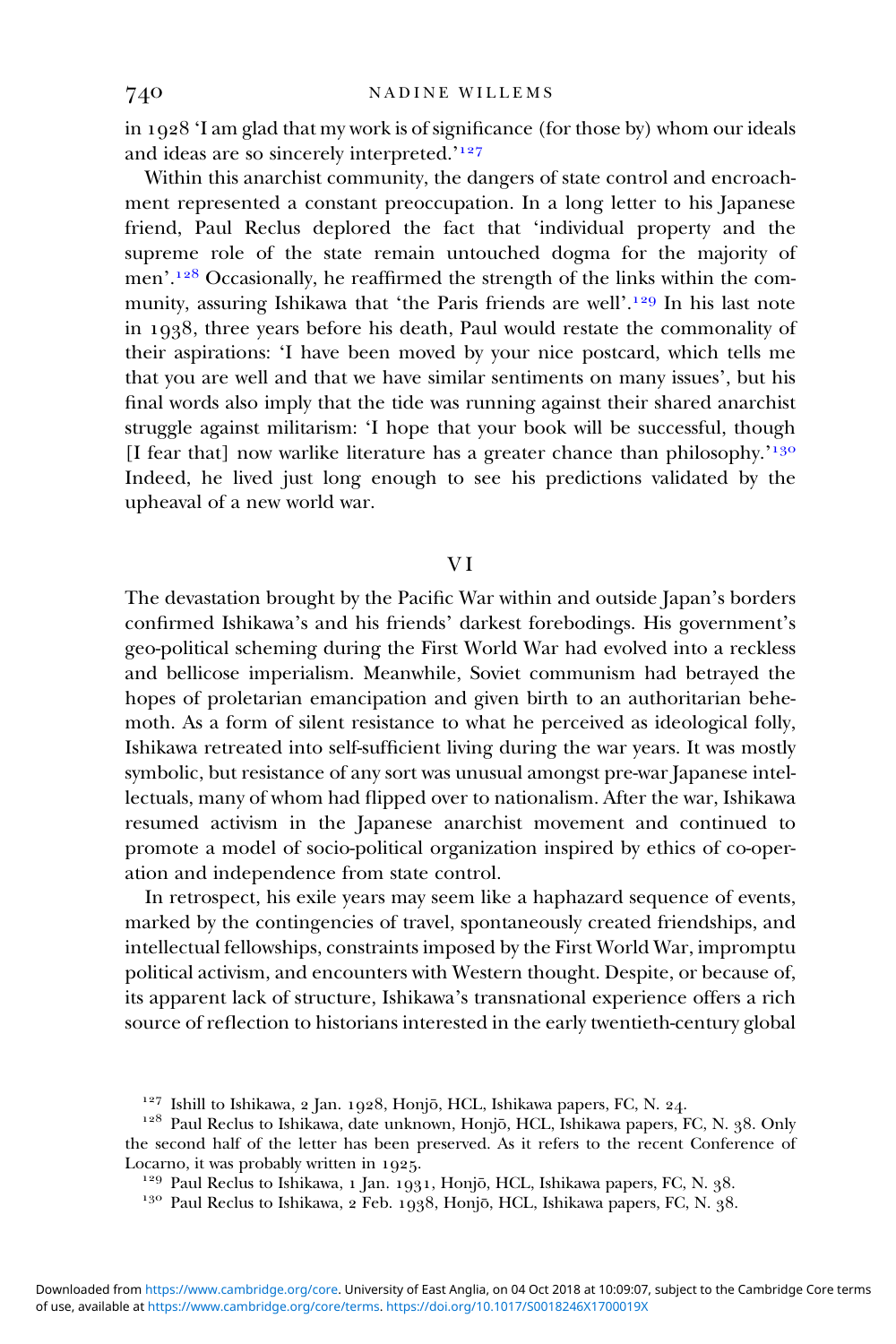in  $1928$  'I am glad that my work is of significance (for those by) whom our ideals and ideas are so sincerely interpreted.'

Within this anarchist community, the dangers of state control and encroachment represented a constant preoccupation. In a long letter to his Japanese friend, Paul Reclus deplored the fact that 'individual property and the supreme role of the state remain untouched dogma for the majority of men'.<sup>128</sup> Occasionally, he reaffirmed the strength of the links within the community, assuring Ishikawa that 'the Paris friends are well'.<sup>129</sup> In his last note in  $1938$ , three years before his death, Paul would restate the commonality of their aspirations: 'I have been moved by your nice postcard, which tells me that you are well and that we have similar sentiments on many issues', but his final words also imply that the tide was running against their shared anarchist struggle against militarism: 'I hope that your book will be successful, though [I fear that] now warlike literature has a greater chance than philosophy.<sup>'130</sup> Indeed, he lived just long enough to see his predictions validated by the upheaval of a new world war.

# V I

The devastation brought by the Pacific War within and outside Japan's borders confirmed Ishikawa's and his friends' darkest forebodings. His government's geo-political scheming during the First World War had evolved into a reckless and bellicose imperialism. Meanwhile, Soviet communism had betrayed the hopes of proletarian emancipation and given birth to an authoritarian behemoth. As a form of silent resistance to what he perceived as ideological folly, Ishikawa retreated into self-sufficient living during the war years. It was mostly symbolic, but resistance of any sort was unusual amongst pre-war Japanese intellectuals, many of whom had flipped over to nationalism. After the war, Ishikawa resumed activism in the Japanese anarchist movement and continued to promote a model of socio-political organization inspired by ethics of co-operation and independence from state control.

In retrospect, his exile years may seem like a haphazard sequence of events, marked by the contingencies of travel, spontaneously created friendships, and intellectual fellowships, constraints imposed by the First World War, impromptu political activism, and encounters with Western thought. Despite, or because of, its apparent lack of structure, Ishikawa's transnational experience offers a rich source of reflection to historians interested in the early twentieth-century global

<sup>&</sup>lt;sup>127</sup> Ishill to Ishikawa, 2 Jan. 1928, Honjō, HCL, Ishikawa papers, FC, N. 24.<br><sup>128</sup> Paul Reclus to Ishikawa, date unknown, Honjō, HCL, Ishikawa papers, FC, N. 38. Only the second half of the letter has been preserved. As it refers to the recent Conference of

Locarno, it was probably written in 1925.<br><sup>129</sup> Paul Reclus to Ishikawa, 1 Jan. 1931, Honjō, HCL, Ishikawa papers, FC, N. 38.<br><sup>130</sup> Paul Reclus to Ishikawa, 2 Feb. 1938, Honjō, HCL, Ishikawa papers, FC, N. 38.